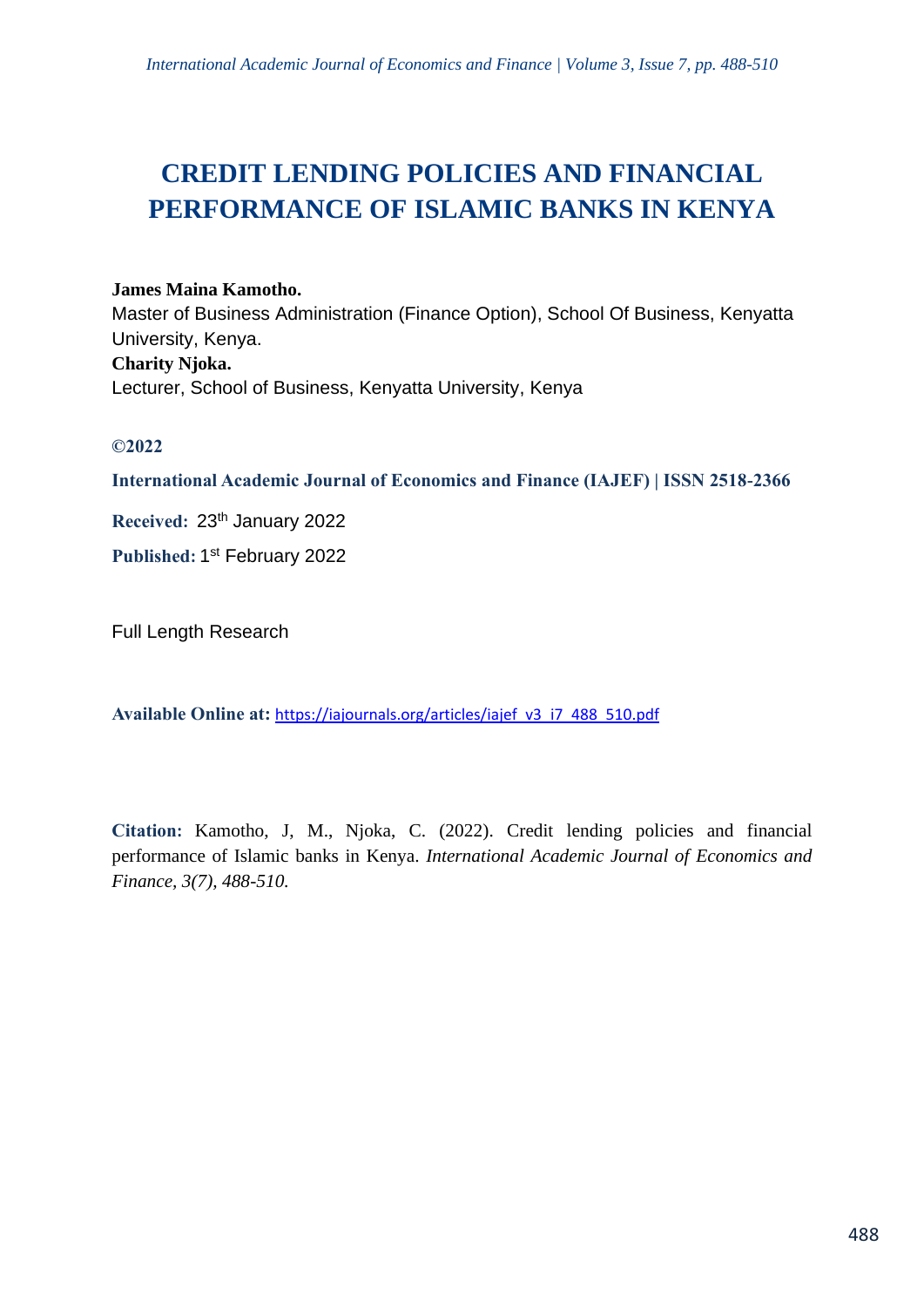# **CREDIT LENDING POLICIES AND FINANCIAL PERFORMANCE OF ISLAMIC BANKS IN KENYA**

# **James Maina Kamotho.**

Master of Business Administration (Finance Option), School Of Business, Kenyatta University, Kenya. **Charity Njoka.** Lecturer, School of Business, Kenyatta University, Kenya

# **©2022**

**International Academic Journal of Economics and Finance (IAJEF) | ISSN 2518-2366**

**Received:** 23th January 2022

**Published:** 1 st February 2022

Full Length Research

**Available Online at:** [https://iajournals.org/articles/iajef\\_v3\\_i7\\_488\\_510.pdf](https://iajournals.org/articles/iajef_v3_i7_488_510.pdf)

**Citation:** Kamotho, J, M., Njoka, C. (2022). Credit lending policies and financial performance of Islamic banks in Kenya. *International Academic Journal of Economics and Finance, 3(7), 488-510.*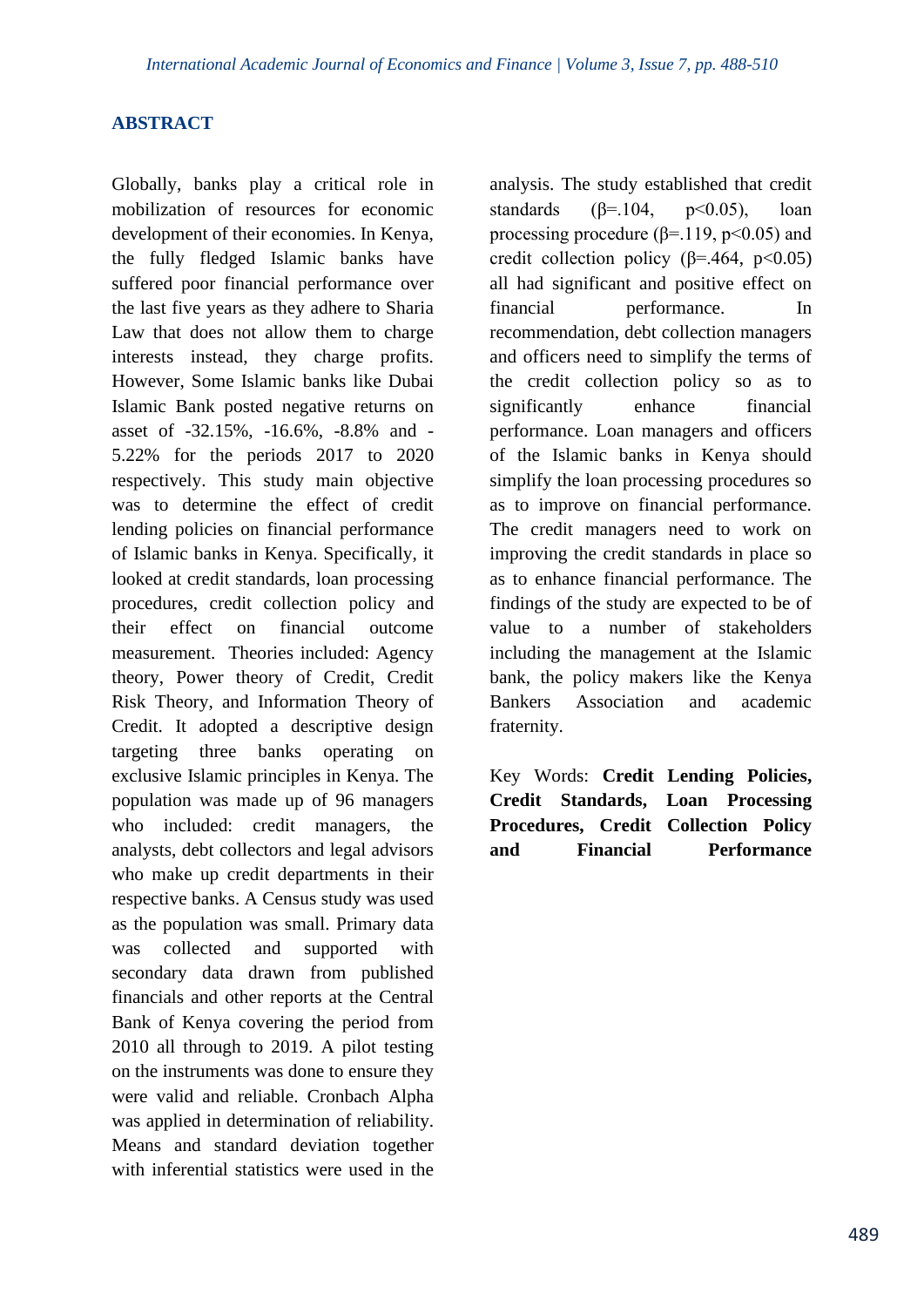# **ABSTRACT**

Globally, banks play a critical role in mobilization of resources for economic development of their economies. In Kenya, the fully fledged Islamic banks have suffered poor financial performance over the last five years as they adhere to Sharia Law that does not allow them to charge interests instead, they charge profits. However, Some Islamic banks like Dubai Islamic Bank posted negative returns on asset of -32.15%, -16.6%, -8.8% and - 5.22% for the periods 2017 to 2020 respectively. This study main objective was to determine the effect of credit lending policies on financial performance of Islamic banks in Kenya. Specifically, it looked at credit standards, loan processing procedures, credit collection policy and their effect on financial outcome measurement. Theories included: Agency theory, Power theory of Credit, Credit Risk Theory, and Information Theory of Credit. It adopted a descriptive design targeting three banks operating on exclusive Islamic principles in Kenya. The population was made up of 96 managers who included: credit managers, the analysts, debt collectors and legal advisors who make up credit departments in their respective banks. A Census study was used as the population was small. Primary data was collected and supported with secondary data drawn from published financials and other reports at the Central Bank of Kenya covering the period from 2010 all through to 2019. A pilot testing on the instruments was done to ensure they were valid and reliable. Cronbach Alpha was applied in determination of reliability. Means and standard deviation together with inferential statistics were used in the

analysis. The study established that credit standards ( $\beta$ =.104, p<0.05), loan processing procedure ( $\beta$ =.119, p<0.05) and credit collection policy  $(\beta = .464, \text{ p} < 0.05)$ all had significant and positive effect on financial performance. In recommendation, debt collection managers and officers need to simplify the terms of the credit collection policy so as to significantly enhance financial performance. Loan managers and officers of the Islamic banks in Kenya should simplify the loan processing procedures so as to improve on financial performance. The credit managers need to work on improving the credit standards in place so as to enhance financial performance. The findings of the study are expected to be of value to a number of stakeholders including the management at the Islamic bank, the policy makers like the Kenya Bankers Association and academic fraternity.

Key Words: **Credit Lending Policies, Credit Standards, Loan Processing Procedures, Credit Collection Policy and Financial Performance**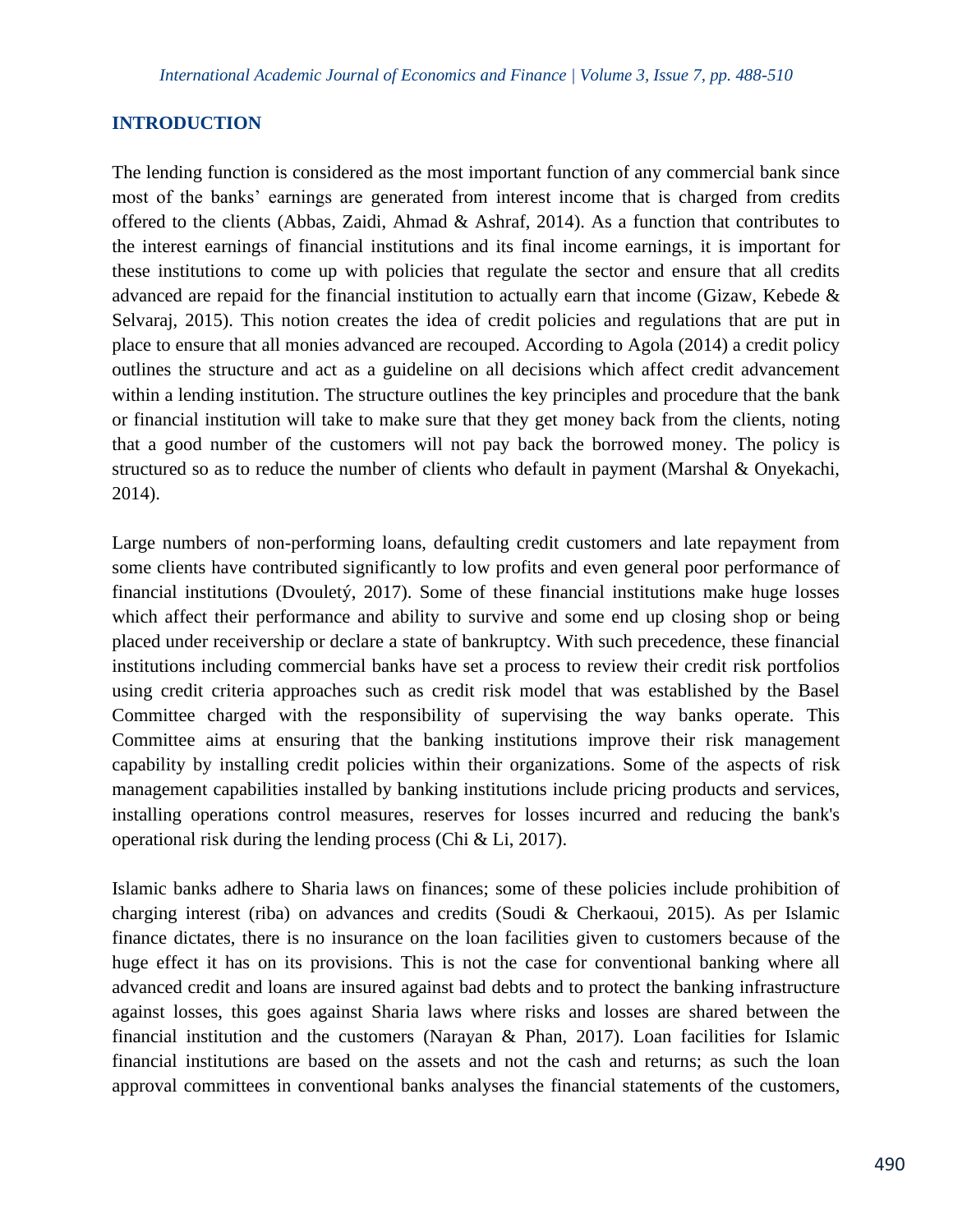# **INTRODUCTION**

The lending function is considered as the most important function of any commercial bank since most of the banks' earnings are generated from interest income that is charged from credits offered to the clients (Abbas, Zaidi, Ahmad & Ashraf, 2014). As a function that contributes to the interest earnings of financial institutions and its final income earnings, it is important for these institutions to come up with policies that regulate the sector and ensure that all credits advanced are repaid for the financial institution to actually earn that income (Gizaw, Kebede  $\&$ Selvaraj, 2015). This notion creates the idea of credit policies and regulations that are put in place to ensure that all monies advanced are recouped. According to Agola (2014) a credit policy outlines the structure and act as a guideline on all decisions which affect credit advancement within a lending institution. The structure outlines the key principles and procedure that the bank or financial institution will take to make sure that they get money back from the clients, noting that a good number of the customers will not pay back the borrowed money. The policy is structured so as to reduce the number of clients who default in payment (Marshal & Onyekachi, 2014).

Large numbers of non-performing loans, defaulting credit customers and late repayment from some clients have contributed significantly to low profits and even general poor performance of financial institutions (Dvouletý, 2017). Some of these financial institutions make huge losses which affect their performance and ability to survive and some end up closing shop or being placed under receivership or declare a state of bankruptcy. With such precedence, these financial institutions including commercial banks have set a process to review their credit risk portfolios using credit criteria approaches such as credit risk model that was established by the Basel Committee charged with the responsibility of supervising the way banks operate. This Committee aims at ensuring that the banking institutions improve their risk management capability by installing credit policies within their organizations. Some of the aspects of risk management capabilities installed by banking institutions include pricing products and services, installing operations control measures, reserves for losses incurred and reducing the bank's operational risk during the lending process (Chi & Li, 2017).

Islamic banks adhere to Sharia laws on finances; some of these policies include prohibition of charging interest (riba) on advances and credits (Soudi & Cherkaoui, 2015). As per Islamic finance dictates, there is no insurance on the loan facilities given to customers because of the huge effect it has on its provisions. This is not the case for conventional banking where all advanced credit and loans are insured against bad debts and to protect the banking infrastructure against losses, this goes against Sharia laws where risks and losses are shared between the financial institution and the customers (Narayan & Phan, 2017). Loan facilities for Islamic financial institutions are based on the assets and not the cash and returns; as such the loan approval committees in conventional banks analyses the financial statements of the customers,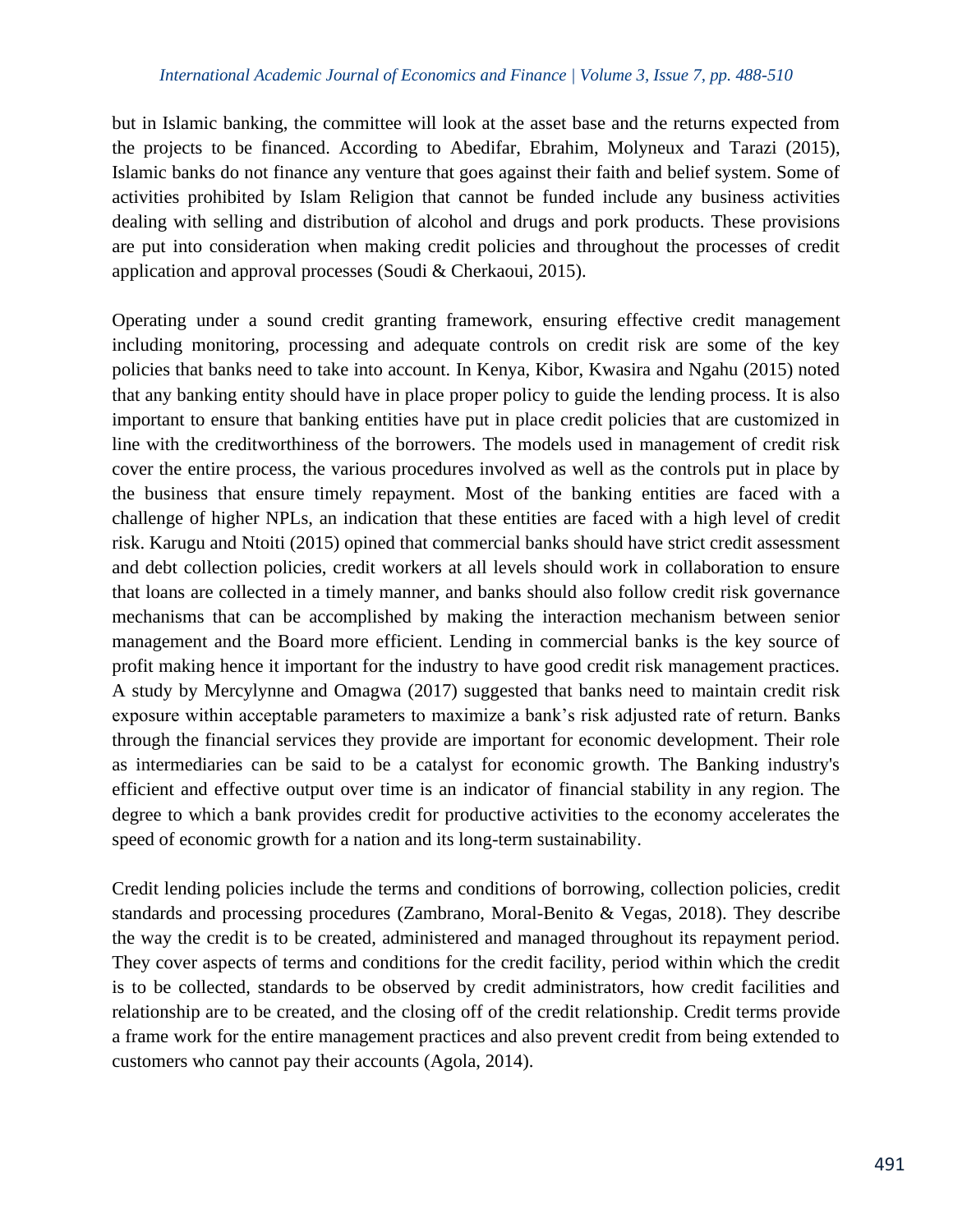but in Islamic banking, the committee will look at the asset base and the returns expected from the projects to be financed. According to Abedifar, Ebrahim, Molyneux and Tarazi (2015), Islamic banks do not finance any venture that goes against their faith and belief system. Some of activities prohibited by Islam Religion that cannot be funded include any business activities dealing with selling and distribution of alcohol and drugs and pork products. These provisions are put into consideration when making credit policies and throughout the processes of credit application and approval processes (Soudi & Cherkaoui, 2015).

Operating under a sound credit granting framework, ensuring effective credit management including monitoring, processing and adequate controls on credit risk are some of the key policies that banks need to take into account. In Kenya, Kibor, Kwasira and Ngahu (2015) noted that any banking entity should have in place proper policy to guide the lending process. It is also important to ensure that banking entities have put in place credit policies that are customized in line with the creditworthiness of the borrowers. The models used in management of credit risk cover the entire process, the various procedures involved as well as the controls put in place by the business that ensure timely repayment. Most of the banking entities are faced with a challenge of higher NPLs, an indication that these entities are faced with a high level of credit risk. Karugu and Ntoiti (2015) opined that commercial banks should have strict credit assessment and debt collection policies, credit workers at all levels should work in collaboration to ensure that loans are collected in a timely manner, and banks should also follow credit risk governance mechanisms that can be accomplished by making the interaction mechanism between senior management and the Board more efficient. Lending in commercial banks is the key source of profit making hence it important for the industry to have good credit risk management practices. A study by Mercylynne and Omagwa (2017) suggested that banks need to maintain credit risk exposure within acceptable parameters to maximize a bank's risk adjusted rate of return. Banks through the financial services they provide are important for economic development. Their role as intermediaries can be said to be a catalyst for economic growth. The Banking industry's efficient and effective output over time is an indicator of financial stability in any region. The degree to which a bank provides credit for productive activities to the economy accelerates the speed of economic growth for a nation and its long-term sustainability.

Credit lending policies include the terms and conditions of borrowing, collection policies, credit standards and processing procedures (Zambrano, Moral-Benito & Vegas, 2018). They describe the way the credit is to be created, administered and managed throughout its repayment period. They cover aspects of terms and conditions for the credit facility, period within which the credit is to be collected, standards to be observed by credit administrators, how credit facilities and relationship are to be created, and the closing off of the credit relationship. Credit terms provide a frame work for the entire management practices and also prevent credit from being extended to customers who cannot pay their accounts (Agola, 2014).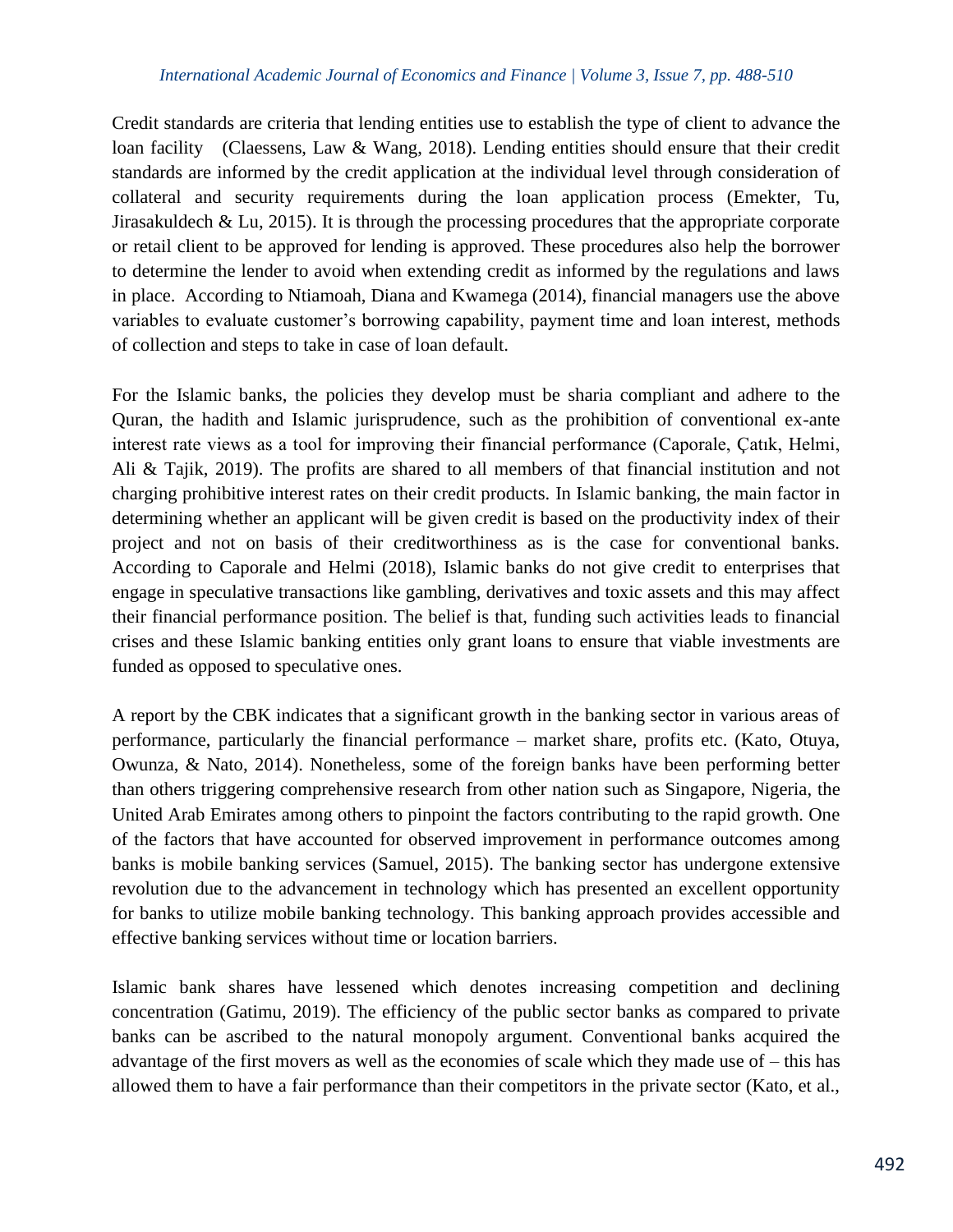#### *International Academic Journal of Economics and Finance | Volume 3, Issue 7, pp. 488-510*

Credit standards are criteria that lending entities use to establish the type of client to advance the loan facility (Claessens, Law & Wang, 2018). Lending entities should ensure that their credit standards are informed by the credit application at the individual level through consideration of collateral and security requirements during the loan application process (Emekter, Tu, Jirasakuldech & Lu, 2015). It is through the processing procedures that the appropriate corporate or retail client to be approved for lending is approved. These procedures also help the borrower to determine the lender to avoid when extending credit as informed by the regulations and laws in place. According to Ntiamoah, Diana and Kwamega (2014), financial managers use the above variables to evaluate customer's borrowing capability, payment time and loan interest, methods of collection and steps to take in case of loan default.

For the Islamic banks, the policies they develop must be sharia compliant and adhere to the Quran, the hadith and Islamic jurisprudence, such as the prohibition of conventional ex-ante interest rate views as a tool for improving their financial performance (Caporale, Çatık, Helmi, Ali & Tajik, 2019). The profits are shared to all members of that financial institution and not charging prohibitive interest rates on their credit products. In Islamic banking, the main factor in determining whether an applicant will be given credit is based on the productivity index of their project and not on basis of their creditworthiness as is the case for conventional banks. According to Caporale and Helmi (2018), Islamic banks do not give credit to enterprises that engage in speculative transactions like gambling, derivatives and toxic assets and this may affect their financial performance position. The belief is that, funding such activities leads to financial crises and these Islamic banking entities only grant loans to ensure that viable investments are funded as opposed to speculative ones.

A report by the CBK indicates that a significant growth in the banking sector in various areas of performance, particularly the financial performance – market share, profits etc. (Kato, Otuya, Owunza, & Nato, 2014). Nonetheless, some of the foreign banks have been performing better than others triggering comprehensive research from other nation such as Singapore, Nigeria, the United Arab Emirates among others to pinpoint the factors contributing to the rapid growth. One of the factors that have accounted for observed improvement in performance outcomes among banks is mobile banking services (Samuel, 2015). The banking sector has undergone extensive revolution due to the advancement in technology which has presented an excellent opportunity for banks to utilize mobile banking technology. This banking approach provides accessible and effective banking services without time or location barriers.

Islamic bank shares have lessened which denotes increasing competition and declining concentration (Gatimu, 2019). The efficiency of the public sector banks as compared to private banks can be ascribed to the natural monopoly argument. Conventional banks acquired the advantage of the first movers as well as the economies of scale which they made use of – this has allowed them to have a fair performance than their competitors in the private sector (Kato, et al.,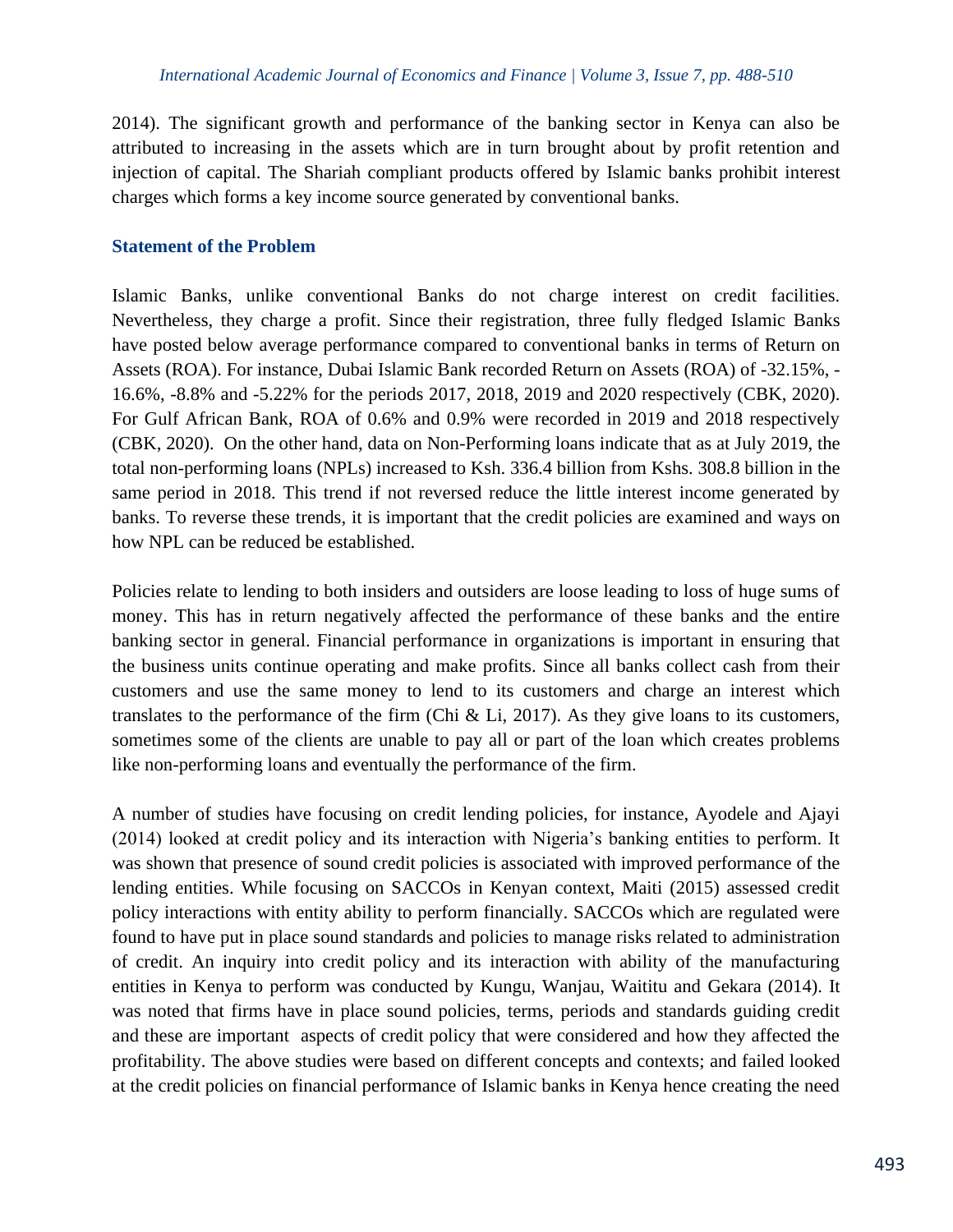2014). The significant growth and performance of the banking sector in Kenya can also be attributed to increasing in the assets which are in turn brought about by profit retention and injection of capital. The Shariah compliant products offered by Islamic banks prohibit interest charges which forms a key income source generated by conventional banks.

# **Statement of the Problem**

Islamic Banks, unlike conventional Banks do not charge interest on credit facilities. Nevertheless, they charge a profit. Since their registration, three fully fledged Islamic Banks have posted below average performance compared to conventional banks in terms of Return on Assets (ROA). For instance, Dubai Islamic Bank recorded Return on Assets (ROA) of -32.15%, - 16.6%, -8.8% and -5.22% for the periods 2017, 2018, 2019 and 2020 respectively (CBK, 2020). For Gulf African Bank, ROA of 0.6% and 0.9% were recorded in 2019 and 2018 respectively (CBK, 2020). On the other hand, data on Non-Performing loans indicate that as at July 2019, the total non-performing loans (NPLs) increased to Ksh. 336.4 billion from Kshs. 308.8 billion in the same period in 2018. This trend if not reversed reduce the little interest income generated by banks. To reverse these trends, it is important that the credit policies are examined and ways on how NPL can be reduced be established.

Policies relate to lending to both insiders and outsiders are loose leading to loss of huge sums of money. This has in return negatively affected the performance of these banks and the entire banking sector in general. Financial performance in organizations is important in ensuring that the business units continue operating and make profits. Since all banks collect cash from their customers and use the same money to lend to its customers and charge an interest which translates to the performance of the firm (Chi & Li, 2017). As they give loans to its customers, sometimes some of the clients are unable to pay all or part of the loan which creates problems like non-performing loans and eventually the performance of the firm.

A number of studies have focusing on credit lending policies, for instance, Ayodele and Ajayi (2014) looked at credit policy and its interaction with Nigeria's banking entities to perform. It was shown that presence of sound credit policies is associated with improved performance of the lending entities. While focusing on SACCOs in Kenyan context, Maiti (2015) assessed credit policy interactions with entity ability to perform financially. SACCOs which are regulated were found to have put in place sound standards and policies to manage risks related to administration of credit. An inquiry into credit policy and its interaction with ability of the manufacturing entities in Kenya to perform was conducted by Kungu, Wanjau, Waititu and Gekara (2014). It was noted that firms have in place sound policies, terms, periods and standards guiding credit and these are important aspects of credit policy that were considered and how they affected the profitability. The above studies were based on different concepts and contexts; and failed looked at the credit policies on financial performance of Islamic banks in Kenya hence creating the need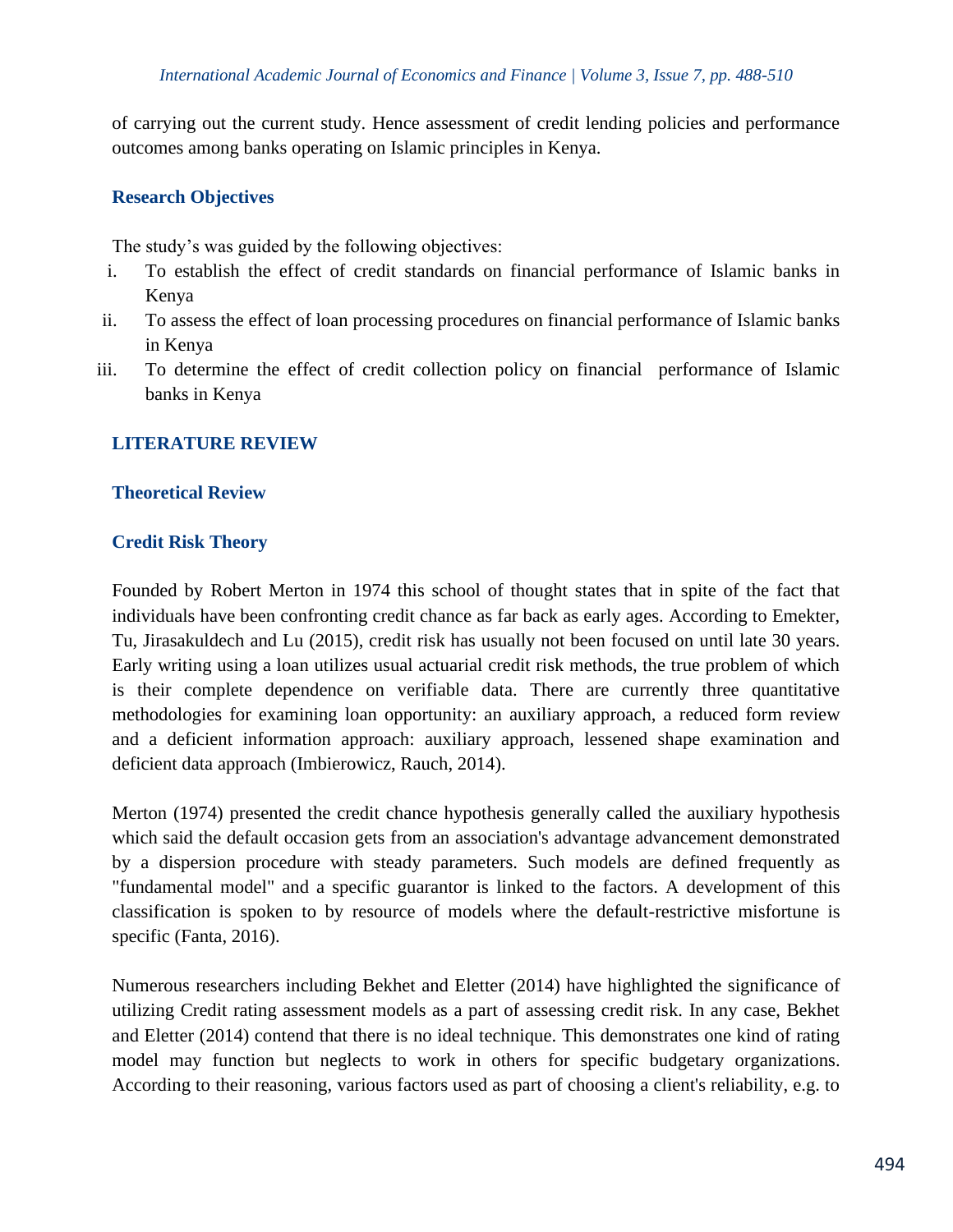of carrying out the current study. Hence assessment of credit lending policies and performance outcomes among banks operating on Islamic principles in Kenya.

# **Research Objectives**

The study's was guided by the following objectives:

- i. To establish the effect of credit standards on financial performance of Islamic banks in Kenya
- ii. To assess the effect of loan processing procedures on financial performance of Islamic banks in Kenya
- iii. To determine the effect of credit collection policy on financial performance of Islamic banks in Kenya

#### **LITERATURE REVIEW**

#### **Theoretical Review**

#### **Credit Risk Theory**

Founded by Robert Merton in 1974 this school of thought states that in spite of the fact that individuals have been confronting credit chance as far back as early ages. According to Emekter, Tu, Jirasakuldech and Lu (2015), credit risk has usually not been focused on until late 30 years. Early writing using a loan utilizes usual actuarial credit risk methods, the true problem of which is their complete dependence on verifiable data. There are currently three quantitative methodologies for examining loan opportunity: an auxiliary approach, a reduced form review and a deficient information approach: auxiliary approach, lessened shape examination and deficient data approach (Imbierowicz, Rauch, 2014).

Merton (1974) presented the credit chance hypothesis generally called the auxiliary hypothesis which said the default occasion gets from an association's advantage advancement demonstrated by a dispersion procedure with steady parameters. Such models are defined frequently as "fundamental model" and a specific guarantor is linked to the factors. A development of this classification is spoken to by resource of models where the default-restrictive misfortune is specific (Fanta, 2016).

Numerous researchers including Bekhet and Eletter (2014) have highlighted the significance of utilizing Credit rating assessment models as a part of assessing credit risk. In any case, Bekhet and Eletter (2014) contend that there is no ideal technique. This demonstrates one kind of rating model may function but neglects to work in others for specific budgetary organizations. According to their reasoning, various factors used as part of choosing a client's reliability, e.g. to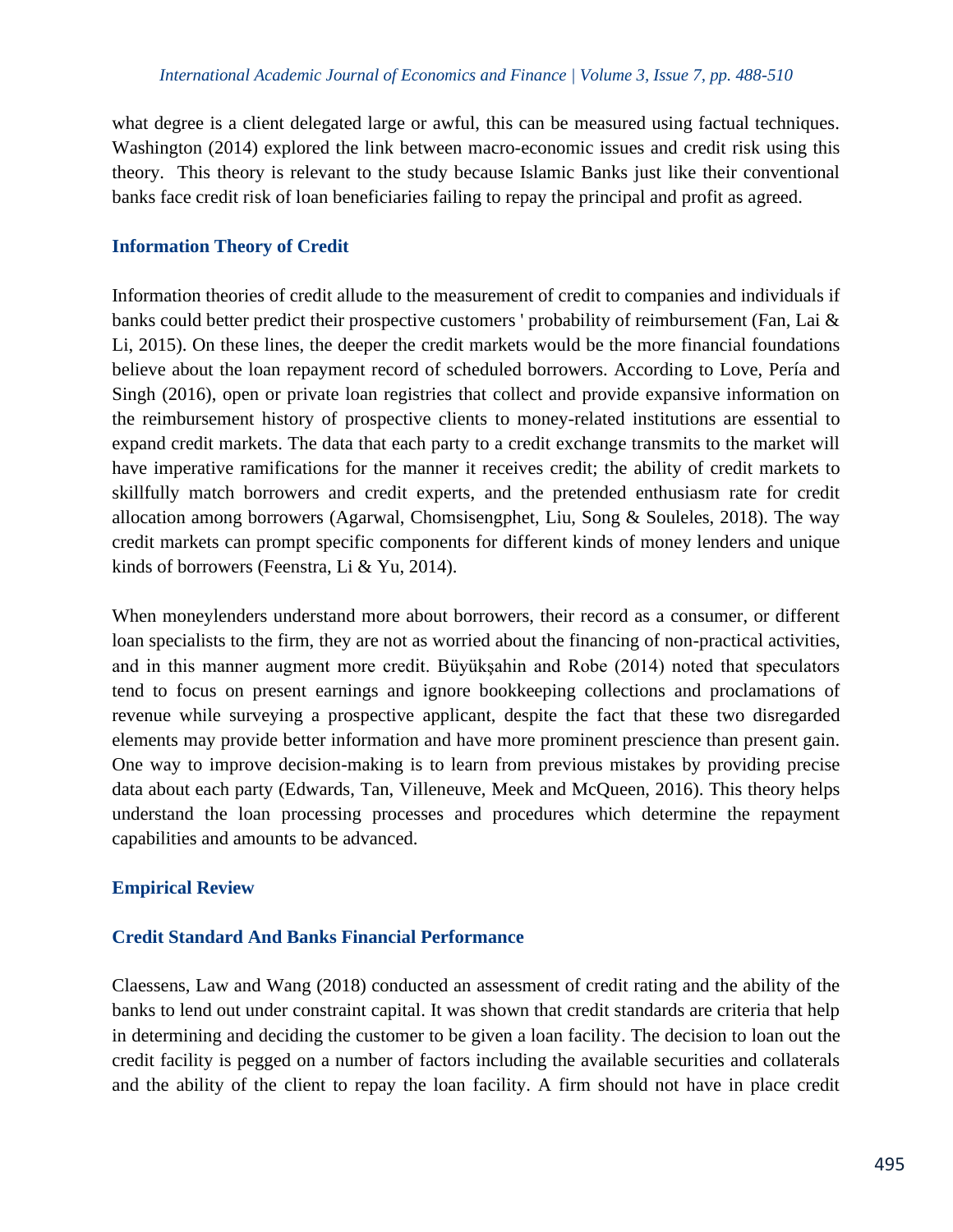what degree is a client delegated large or awful, this can be measured using factual techniques. Washington (2014) explored the link between macro-economic issues and credit risk using this theory. This theory is relevant to the study because Islamic Banks just like their conventional banks face credit risk of loan beneficiaries failing to repay the principal and profit as agreed.

# **Information Theory of Credit**

Information theories of credit allude to the measurement of credit to companies and individuals if banks could better predict their prospective customers ' probability of reimbursement (Fan, Lai & Li, 2015). On these lines, the deeper the credit markets would be the more financial foundations believe about the loan repayment record of scheduled borrowers. According to Love, Pería and Singh (2016), open or private loan registries that collect and provide expansive information on the reimbursement history of prospective clients to money-related institutions are essential to expand credit markets. The data that each party to a credit exchange transmits to the market will have imperative ramifications for the manner it receives credit; the ability of credit markets to skillfully match borrowers and credit experts, and the pretended enthusiasm rate for credit allocation among borrowers (Agarwal, Chomsisengphet, Liu, Song & Souleles, 2018). The way credit markets can prompt specific components for different kinds of money lenders and unique kinds of borrowers (Feenstra, Li & Yu, 2014).

When moneylenders understand more about borrowers, their record as a consumer, or different loan specialists to the firm, they are not as worried about the financing of non-practical activities, and in this manner augment more credit. Büyükşahin and Robe (2014) noted that speculators tend to focus on present earnings and ignore bookkeeping collections and proclamations of revenue while surveying a prospective applicant, despite the fact that these two disregarded elements may provide better information and have more prominent prescience than present gain. One way to improve decision-making is to learn from previous mistakes by providing precise data about each party (Edwards, Tan, Villeneuve, Meek and McQueen, 2016). This theory helps understand the loan processing processes and procedures which determine the repayment capabilities and amounts to be advanced.

# **Empirical Review**

#### **Credit Standard And Banks Financial Performance**

Claessens, Law and Wang (2018) conducted an assessment of credit rating and the ability of the banks to lend out under constraint capital. It was shown that credit standards are criteria that help in determining and deciding the customer to be given a loan facility. The decision to loan out the credit facility is pegged on a number of factors including the available securities and collaterals and the ability of the client to repay the loan facility. A firm should not have in place credit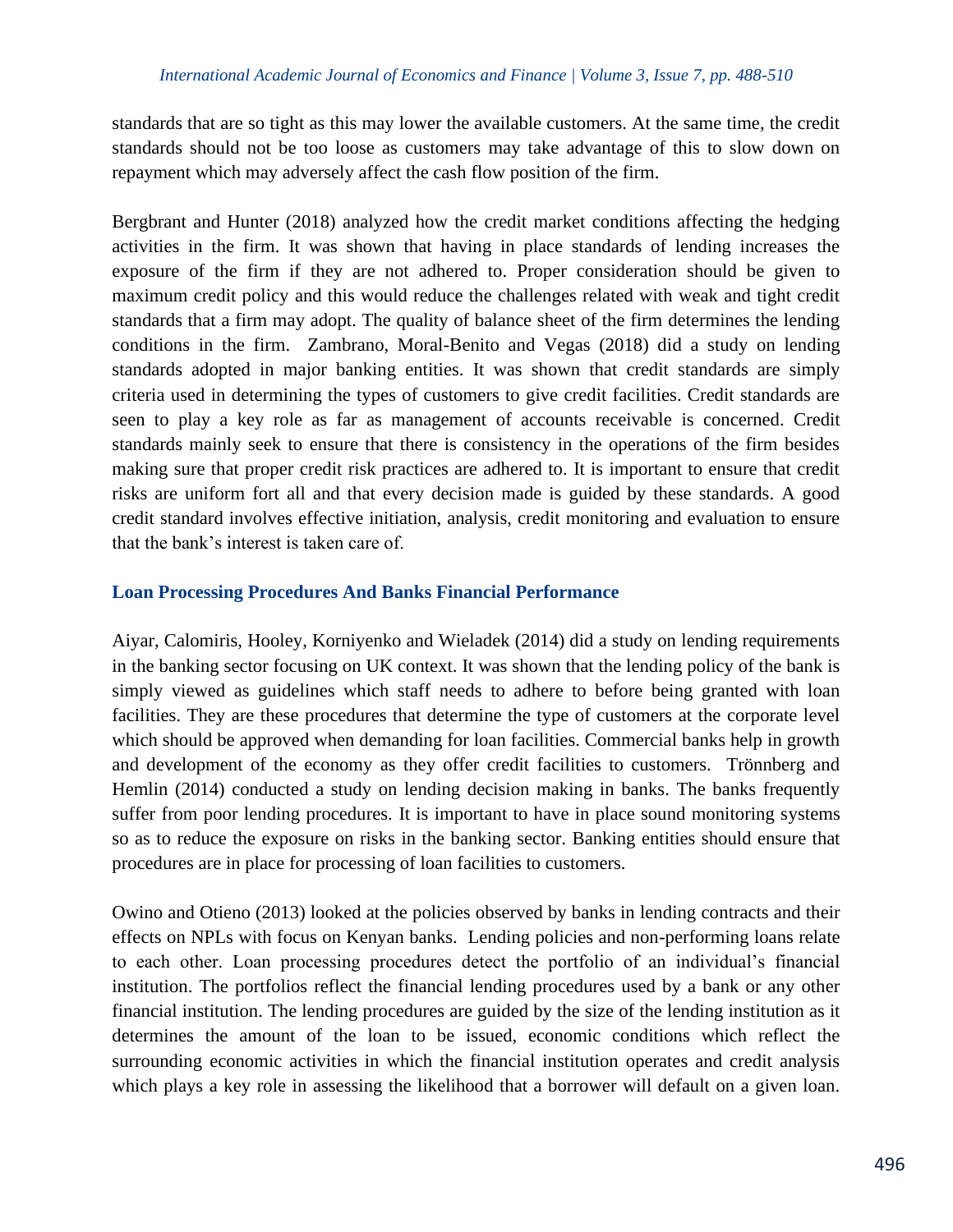standards that are so tight as this may lower the available customers. At the same time, the credit standards should not be too loose as customers may take advantage of this to slow down on repayment which may adversely affect the cash flow position of the firm.

Bergbrant and Hunter (2018) analyzed how the credit market conditions affecting the hedging activities in the firm. It was shown that having in place standards of lending increases the exposure of the firm if they are not adhered to. Proper consideration should be given to maximum credit policy and this would reduce the challenges related with weak and tight credit standards that a firm may adopt. The quality of balance sheet of the firm determines the lending conditions in the firm. Zambrano, Moral-Benito and Vegas (2018) did a study on lending standards adopted in major banking entities. It was shown that credit standards are simply criteria used in determining the types of customers to give credit facilities. Credit standards are seen to play a key role as far as management of accounts receivable is concerned. Credit standards mainly seek to ensure that there is consistency in the operations of the firm besides making sure that proper credit risk practices are adhered to. It is important to ensure that credit risks are uniform fort all and that every decision made is guided by these standards. A good credit standard involves effective initiation, analysis, credit monitoring and evaluation to ensure that the bank's interest is taken care of.

#### **Loan Processing Procedures And Banks Financial Performance**

Aiyar, Calomiris, Hooley, Korniyenko and Wieladek (2014) did a study on lending requirements in the banking sector focusing on UK context. It was shown that the lending policy of the bank is simply viewed as guidelines which staff needs to adhere to before being granted with loan facilities. They are these procedures that determine the type of customers at the corporate level which should be approved when demanding for loan facilities. Commercial banks help in growth and development of the economy as they offer credit facilities to customers. Trönnberg and Hemlin (2014) conducted a study on lending decision making in banks. The banks frequently suffer from poor lending procedures. It is important to have in place sound monitoring systems so as to reduce the exposure on risks in the banking sector. Banking entities should ensure that procedures are in place for processing of loan facilities to customers.

Owino and Otieno (2013) looked at the policies observed by banks in lending contracts and their effects on NPLs with focus on Kenyan banks. Lending policies and non-performing loans relate to each other. Loan processing procedures detect the portfolio of an individual's financial institution. The portfolios reflect the financial lending procedures used by a bank or any other financial institution. The lending procedures are guided by the size of the lending institution as it determines the amount of the loan to be issued, economic conditions which reflect the surrounding economic activities in which the financial institution operates and credit analysis which plays a key role in assessing the likelihood that a borrower will default on a given loan.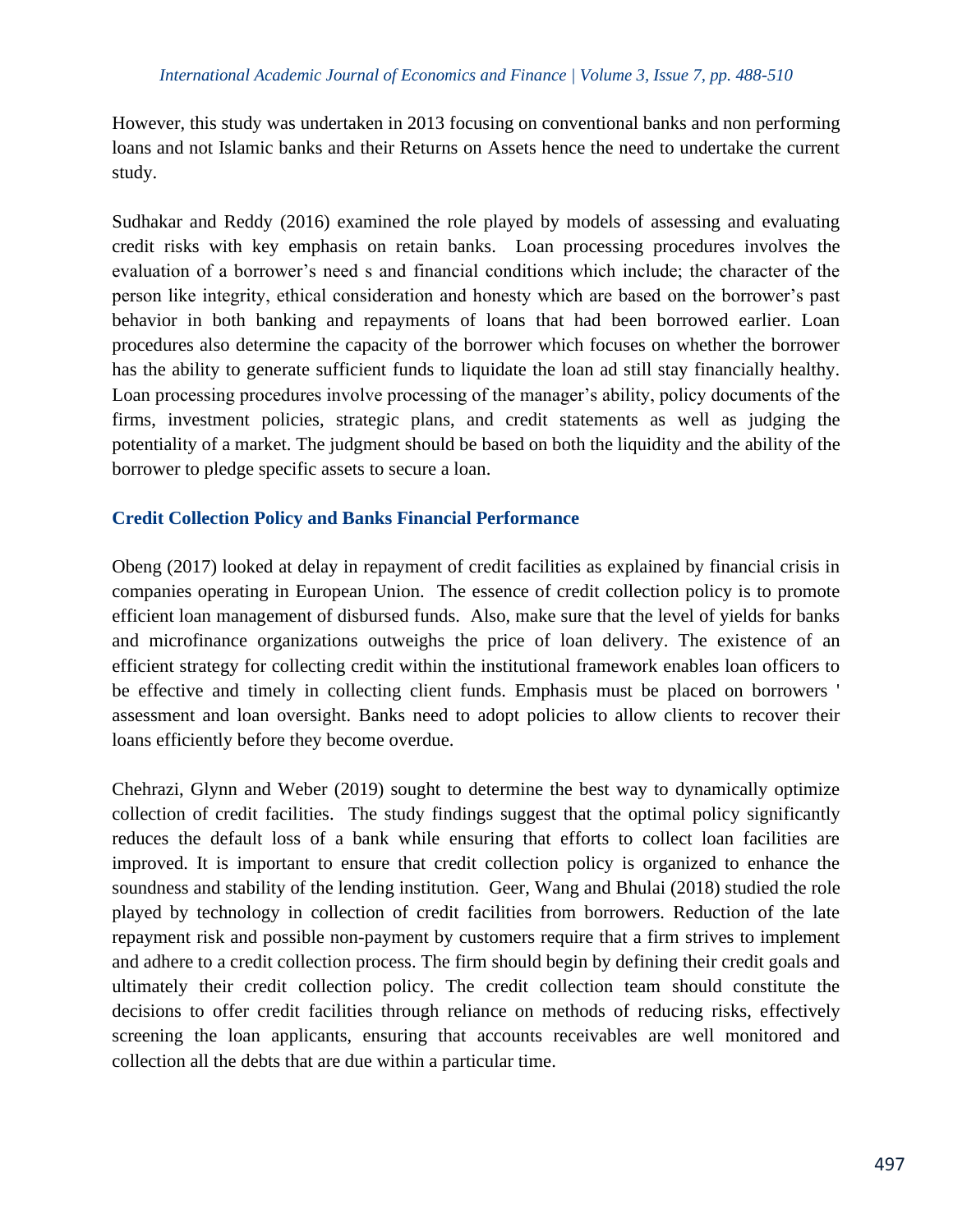However, this study was undertaken in 2013 focusing on conventional banks and non performing loans and not Islamic banks and their Returns on Assets hence the need to undertake the current study.

Sudhakar and Reddy (2016) examined the role played by models of assessing and evaluating credit risks with key emphasis on retain banks. Loan processing procedures involves the evaluation of a borrower's need s and financial conditions which include; the character of the person like integrity, ethical consideration and honesty which are based on the borrower's past behavior in both banking and repayments of loans that had been borrowed earlier. Loan procedures also determine the capacity of the borrower which focuses on whether the borrower has the ability to generate sufficient funds to liquidate the loan ad still stay financially healthy. Loan processing procedures involve processing of the manager's ability, policy documents of the firms, investment policies, strategic plans, and credit statements as well as judging the potentiality of a market. The judgment should be based on both the liquidity and the ability of the borrower to pledge specific assets to secure a loan.

#### **Credit Collection Policy and Banks Financial Performance**

Obeng (2017) looked at delay in repayment of credit facilities as explained by financial crisis in companies operating in European Union. The essence of credit collection policy is to promote efficient loan management of disbursed funds. Also, make sure that the level of yields for banks and microfinance organizations outweighs the price of loan delivery. The existence of an efficient strategy for collecting credit within the institutional framework enables loan officers to be effective and timely in collecting client funds. Emphasis must be placed on borrowers ' assessment and loan oversight. Banks need to adopt policies to allow clients to recover their loans efficiently before they become overdue.

Chehrazi, Glynn and Weber (2019) sought to determine the best way to dynamically optimize collection of credit facilities. The study findings suggest that the optimal policy significantly reduces the default loss of a bank while ensuring that efforts to collect loan facilities are improved. It is important to ensure that credit collection policy is organized to enhance the soundness and stability of the lending institution. Geer, Wang and Bhulai (2018) studied the role played by technology in collection of credit facilities from borrowers. Reduction of the late repayment risk and possible non-payment by customers require that a firm strives to implement and adhere to a credit collection process. The firm should begin by defining their credit goals and ultimately their credit collection policy. The credit collection team should constitute the decisions to offer credit facilities through reliance on methods of reducing risks, effectively screening the loan applicants, ensuring that accounts receivables are well monitored and collection all the debts that are due within a particular time.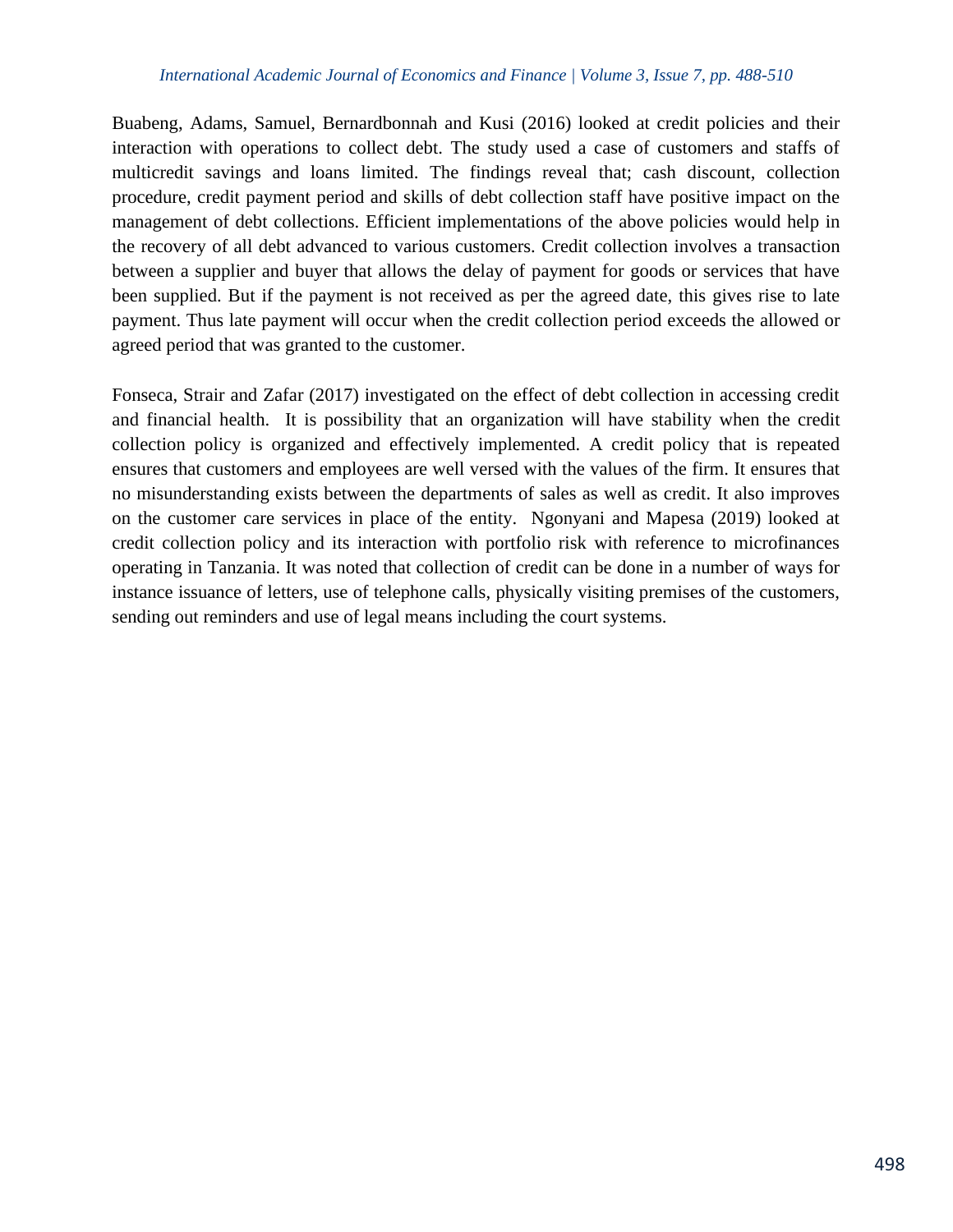#### *International Academic Journal of Economics and Finance | Volume 3, Issue 7, pp. 488-510*

Buabeng, Adams, Samuel, Bernardbonnah and Kusi (2016) looked at credit policies and their interaction with operations to collect debt. The study used a case of customers and staffs of multicredit savings and loans limited. The findings reveal that; cash discount, collection procedure, credit payment period and skills of debt collection staff have positive impact on the management of debt collections. Efficient implementations of the above policies would help in the recovery of all debt advanced to various customers. Credit collection involves a transaction between a supplier and buyer that allows the delay of payment for goods or services that have been supplied. But if the payment is not received as per the agreed date, this gives rise to late payment. Thus late payment will occur when the credit collection period exceeds the allowed or agreed period that was granted to the customer.

Fonseca, Strair and Zafar (2017) investigated on the effect of debt collection in accessing credit and financial health. It is possibility that an organization will have stability when the credit collection policy is organized and effectively implemented. A credit policy that is repeated ensures that customers and employees are well versed with the values of the firm. It ensures that no misunderstanding exists between the departments of sales as well as credit. It also improves on the customer care services in place of the entity. Ngonyani and Mapesa (2019) looked at credit collection policy and its interaction with portfolio risk with reference to microfinances operating in Tanzania. It was noted that collection of credit can be done in a number of ways for instance issuance of letters, use of telephone calls, physically visiting premises of the customers, sending out reminders and use of legal means including the court systems.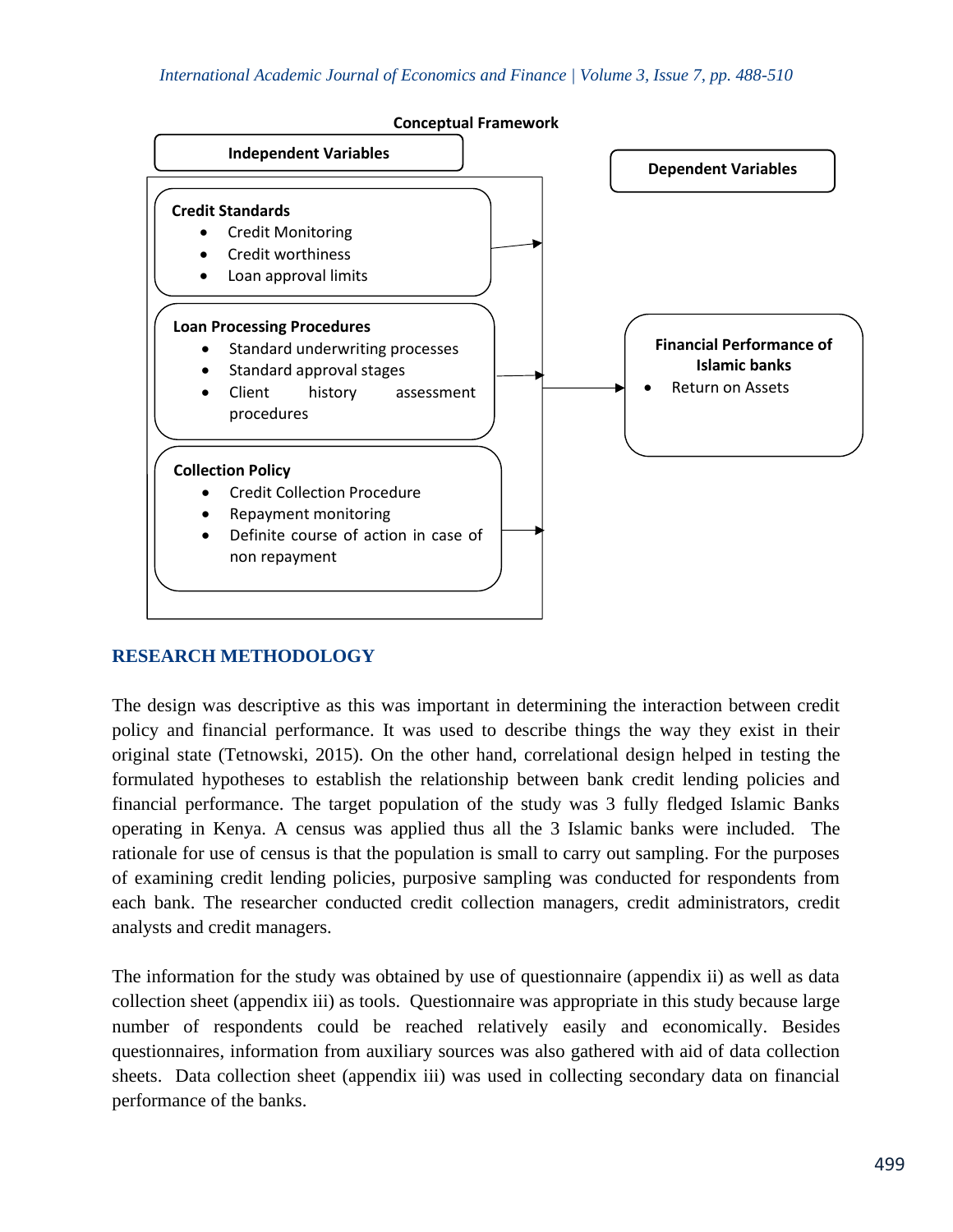

# **RESEARCH METHODOLOGY**

The design was descriptive as this was important in determining the interaction between credit policy and financial performance. It was used to describe things the way they exist in their original state (Tetnowski, 2015). On the other hand, correlational design helped in testing the formulated hypotheses to establish the relationship between bank credit lending policies and financial performance. The target population of the study was 3 fully fledged Islamic Banks operating in Kenya. A census was applied thus all the 3 Islamic banks were included. The rationale for use of census is that the population is small to carry out sampling. For the purposes of examining credit lending policies, purposive sampling was conducted for respondents from each bank. The researcher conducted credit collection managers, credit administrators, credit analysts and credit managers.

The information for the study was obtained by use of questionnaire (appendix ii) as well as data collection sheet (appendix iii) as tools. Questionnaire was appropriate in this study because large number of respondents could be reached relatively easily and economically. Besides questionnaires, information from auxiliary sources was also gathered with aid of data collection sheets. Data collection sheet (appendix iii) was used in collecting secondary data on financial performance of the banks.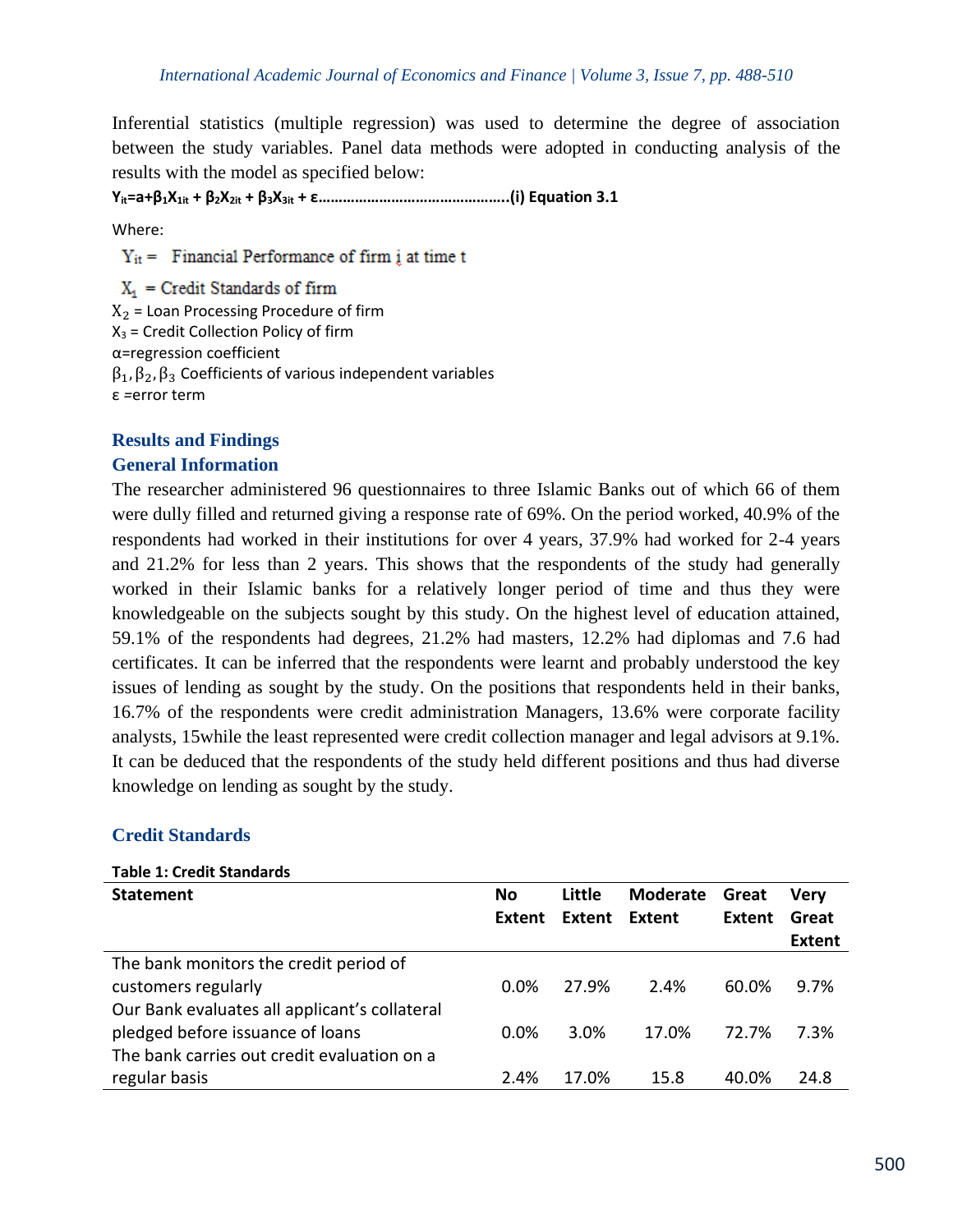Inferential statistics (multiple regression) was used to determine the degree of association between the study variables. Panel data methods were adopted in conducting analysis of the results with the model as specified below:

**Yit=a+β1X1it + β2X2it + β3X3it + ε………………………………………..(i) Equation 3.1** 

Where:

 $Y_{it}$  = Financial Performance of firm *i* at time t

 $X_1$  = Credit Standards of firm  $X_2$  = Loan Processing Procedure of firm  $X_3$  = Credit Collection Policy of firm α=regression coefficient  $β_1, β_2, β_3$  Coefficients of various independent variables ε *=*error term

# **Results and Findings General Information**

The researcher administered 96 questionnaires to three Islamic Banks out of which 66 of them were dully filled and returned giving a response rate of 69%. On the period worked, 40.9% of the respondents had worked in their institutions for over 4 years, 37.9% had worked for 2-4 years and 21.2% for less than 2 years. This shows that the respondents of the study had generally worked in their Islamic banks for a relatively longer period of time and thus they were knowledgeable on the subjects sought by this study. On the highest level of education attained, 59.1% of the respondents had degrees, 21.2% had masters, 12.2% had diplomas and 7.6 had certificates. It can be inferred that the respondents were learnt and probably understood the key issues of lending as sought by the study. On the positions that respondents held in their banks, 16.7% of the respondents were credit administration Managers, 13.6% were corporate facility analysts, 15while the least represented were credit collection manager and legal advisors at 9.1%. It can be deduced that the respondents of the study held different positions and thus had diverse knowledge on lending as sought by the study.

#### **Credit Standards**

#### **Table 1: Credit Standards**

| <b>Statement</b>                              | No     | Little | <b>Moderate</b> | Great  | Verv          |
|-----------------------------------------------|--------|--------|-----------------|--------|---------------|
|                                               | Extent | Extent | Extent          | Extent | Great         |
|                                               |        |        |                 |        | <b>Extent</b> |
| The bank monitors the credit period of        |        |        |                 |        |               |
| customers regularly                           | 0.0%   | 27.9%  | 2.4%            | 60.0%  | 9.7%          |
| Our Bank evaluates all applicant's collateral |        |        |                 |        |               |
| pledged before issuance of loans              | 0.0%   | 3.0%   | 17.0%           | 72.7%  | 7.3%          |
| The bank carries out credit evaluation on a   |        |        |                 |        |               |
| regular basis                                 | 2.4%   | 17.0%  | 15.8            | 40.0%  | 24.8          |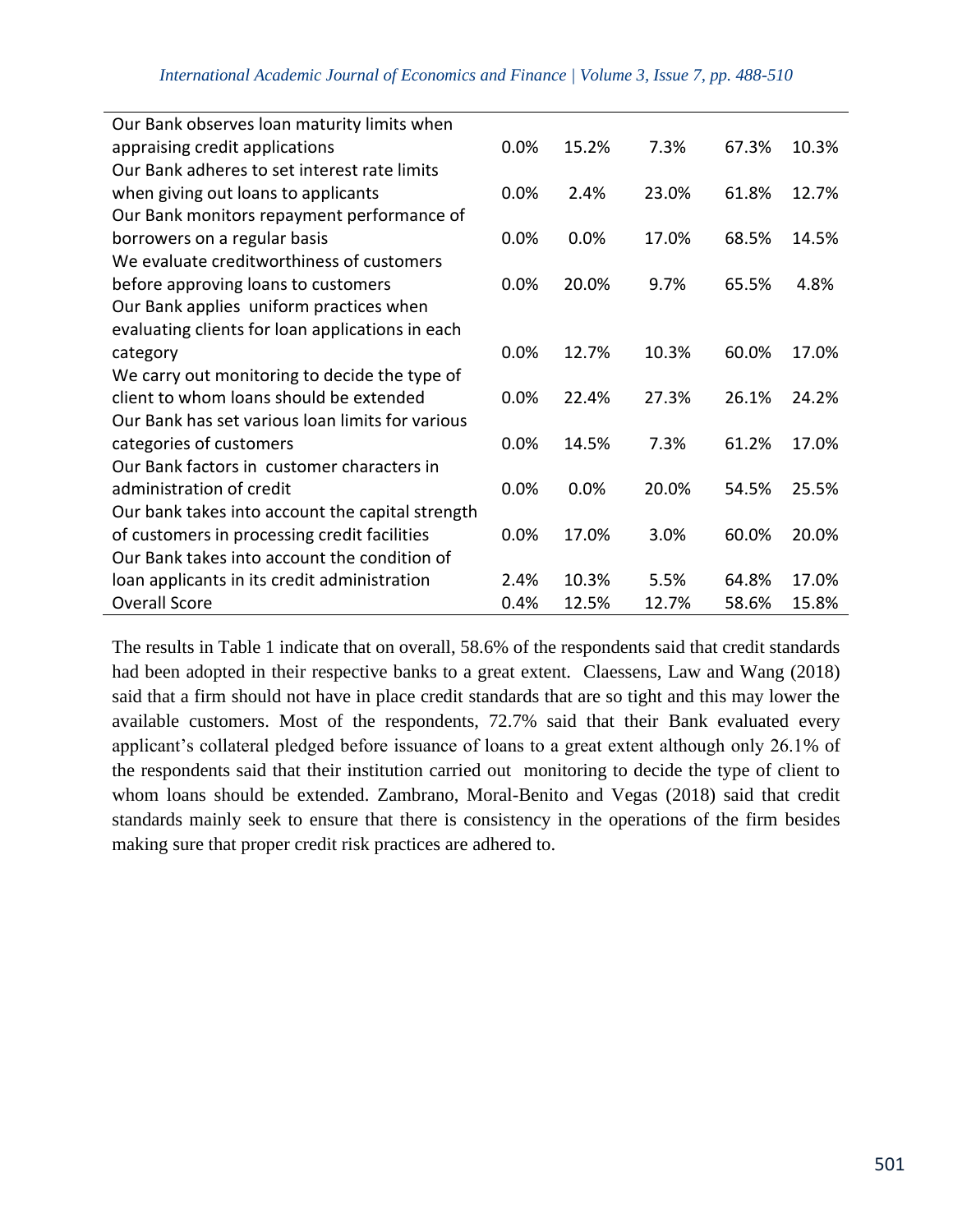| Our Bank observes loan maturity limits when      |      |       |       |       |       |
|--------------------------------------------------|------|-------|-------|-------|-------|
| appraising credit applications                   | 0.0% | 15.2% | 7.3%  | 67.3% | 10.3% |
| Our Bank adheres to set interest rate limits     |      |       |       |       |       |
| when giving out loans to applicants              | 0.0% | 2.4%  | 23.0% | 61.8% | 12.7% |
| Our Bank monitors repayment performance of       |      |       |       |       |       |
| borrowers on a regular basis                     | 0.0% | 0.0%  | 17.0% | 68.5% | 14.5% |
| We evaluate creditworthiness of customers        |      |       |       |       |       |
| before approving loans to customers              | 0.0% | 20.0% | 9.7%  | 65.5% | 4.8%  |
| Our Bank applies uniform practices when          |      |       |       |       |       |
| evaluating clients for loan applications in each |      |       |       |       |       |
| category                                         | 0.0% | 12.7% | 10.3% | 60.0% | 17.0% |
| We carry out monitoring to decide the type of    |      |       |       |       |       |
| client to whom loans should be extended          | 0.0% | 22.4% | 27.3% | 26.1% | 24.2% |
| Our Bank has set various loan limits for various |      |       |       |       |       |
| categories of customers                          | 0.0% | 14.5% | 7.3%  | 61.2% | 17.0% |
| Our Bank factors in customer characters in       |      |       |       |       |       |
| administration of credit                         | 0.0% | 0.0%  | 20.0% | 54.5% | 25.5% |
| Our bank takes into account the capital strength |      |       |       |       |       |
| of customers in processing credit facilities     | 0.0% | 17.0% | 3.0%  | 60.0% | 20.0% |
| Our Bank takes into account the condition of     |      |       |       |       |       |
| loan applicants in its credit administration     | 2.4% | 10.3% | 5.5%  | 64.8% | 17.0% |
| <b>Overall Score</b>                             | 0.4% | 12.5% | 12.7% | 58.6% | 15.8% |

The results in Table 1 indicate that on overall, 58.6% of the respondents said that credit standards had been adopted in their respective banks to a great extent. Claessens, Law and Wang (2018) said that a firm should not have in place credit standards that are so tight and this may lower the available customers. Most of the respondents, 72.7% said that their Bank evaluated every applicant's collateral pledged before issuance of loans to a great extent although only 26.1% of the respondents said that their institution carried out monitoring to decide the type of client to whom loans should be extended. Zambrano, Moral-Benito and Vegas (2018) said that credit standards mainly seek to ensure that there is consistency in the operations of the firm besides making sure that proper credit risk practices are adhered to.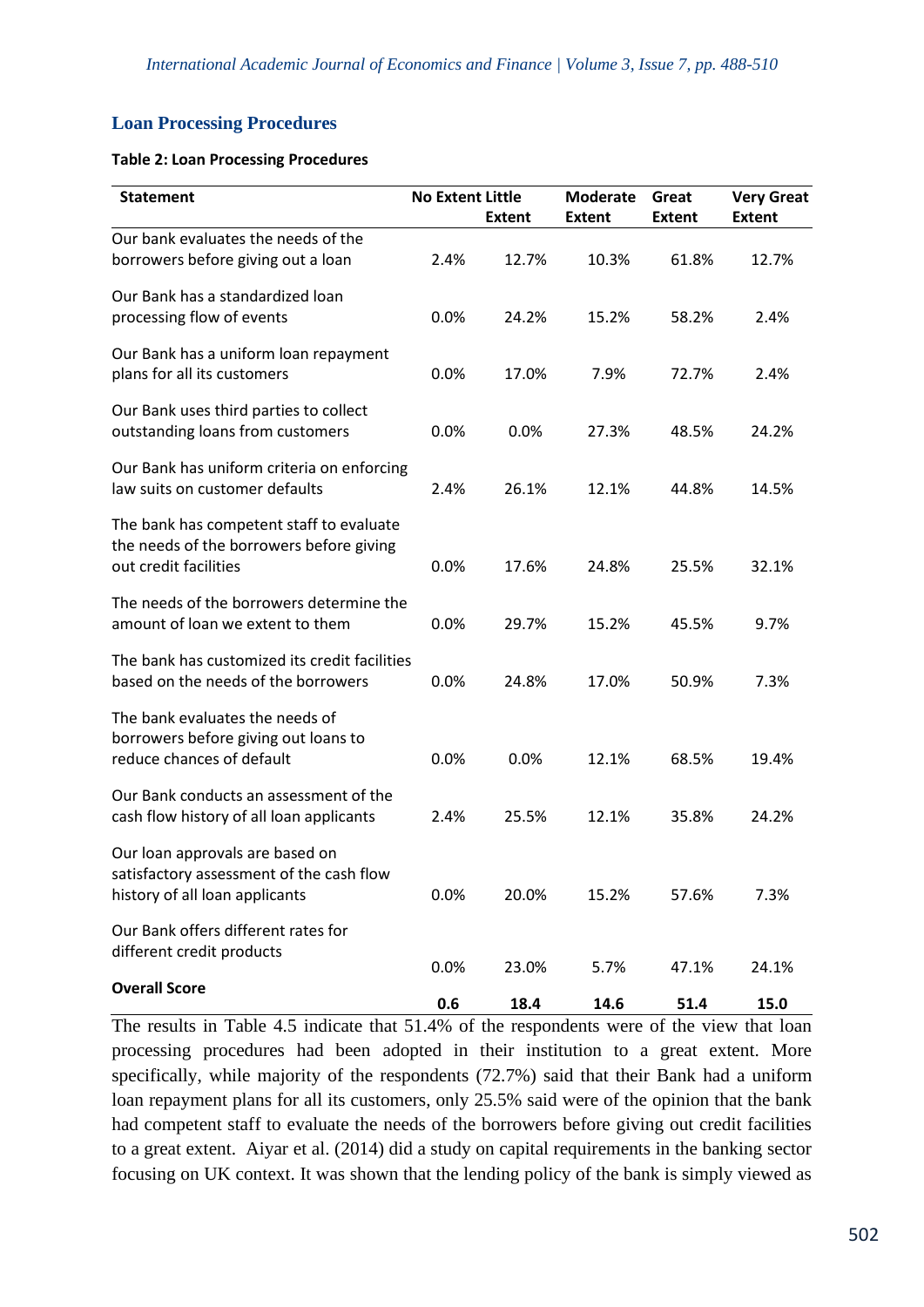# **Loan Processing Procedures**

#### **Table 2: Loan Processing Procedures**

| <b>Statement</b>                                                                                              | <b>No Extent Little</b> | <b>Extent</b> | <b>Moderate</b><br><b>Extent</b> | Great<br><b>Extent</b> | <b>Very Great</b><br><b>Extent</b> |
|---------------------------------------------------------------------------------------------------------------|-------------------------|---------------|----------------------------------|------------------------|------------------------------------|
| Our bank evaluates the needs of the                                                                           |                         |               |                                  |                        |                                    |
| borrowers before giving out a loan                                                                            | 2.4%                    | 12.7%         | 10.3%                            | 61.8%                  | 12.7%                              |
| Our Bank has a standardized loan<br>processing flow of events                                                 | 0.0%                    | 24.2%         | 15.2%                            | 58.2%                  | 2.4%                               |
| Our Bank has a uniform loan repayment<br>plans for all its customers                                          | 0.0%                    | 17.0%         | 7.9%                             | 72.7%                  | 2.4%                               |
| Our Bank uses third parties to collect<br>outstanding loans from customers                                    | 0.0%                    | 0.0%          | 27.3%                            | 48.5%                  | 24.2%                              |
| Our Bank has uniform criteria on enforcing<br>law suits on customer defaults                                  | 2.4%                    | 26.1%         | 12.1%                            | 44.8%                  | 14.5%                              |
| The bank has competent staff to evaluate<br>the needs of the borrowers before giving<br>out credit facilities | 0.0%                    | 17.6%         | 24.8%                            | 25.5%                  | 32.1%                              |
| The needs of the borrowers determine the<br>amount of loan we extent to them                                  | 0.0%                    | 29.7%         | 15.2%                            | 45.5%                  | 9.7%                               |
| The bank has customized its credit facilities<br>based on the needs of the borrowers                          | 0.0%                    | 24.8%         | 17.0%                            | 50.9%                  | 7.3%                               |
| The bank evaluates the needs of<br>borrowers before giving out loans to<br>reduce chances of default          | 0.0%                    | 0.0%          | 12.1%                            | 68.5%                  | 19.4%                              |
| Our Bank conducts an assessment of the<br>cash flow history of all loan applicants                            | 2.4%                    | 25.5%         | 12.1%                            | 35.8%                  | 24.2%                              |
| Our loan approvals are based on<br>satisfactory assessment of the cash flow<br>history of all loan applicants | 0.0%                    | 20.0%         | 15.2%                            | 57.6%                  | 7.3%                               |
| Our Bank offers different rates for<br>different credit products                                              | 0.0%                    | 23.0%         | 5.7%                             | 47.1%                  | 24.1%                              |
| <b>Overall Score</b>                                                                                          | 0.6                     | 18.4          | 14.6                             | 51.4                   | 15.0                               |

The results in Table 4.5 indicate that 51.4% of the respondents were of the view that loan processing procedures had been adopted in their institution to a great extent. More specifically, while majority of the respondents (72.7%) said that their Bank had a uniform loan repayment plans for all its customers, only 25.5% said were of the opinion that the bank had competent staff to evaluate the needs of the borrowers before giving out credit facilities to a great extent. Aiyar et al. (2014) did a study on capital requirements in the banking sector focusing on UK context. It was shown that the lending policy of the bank is simply viewed as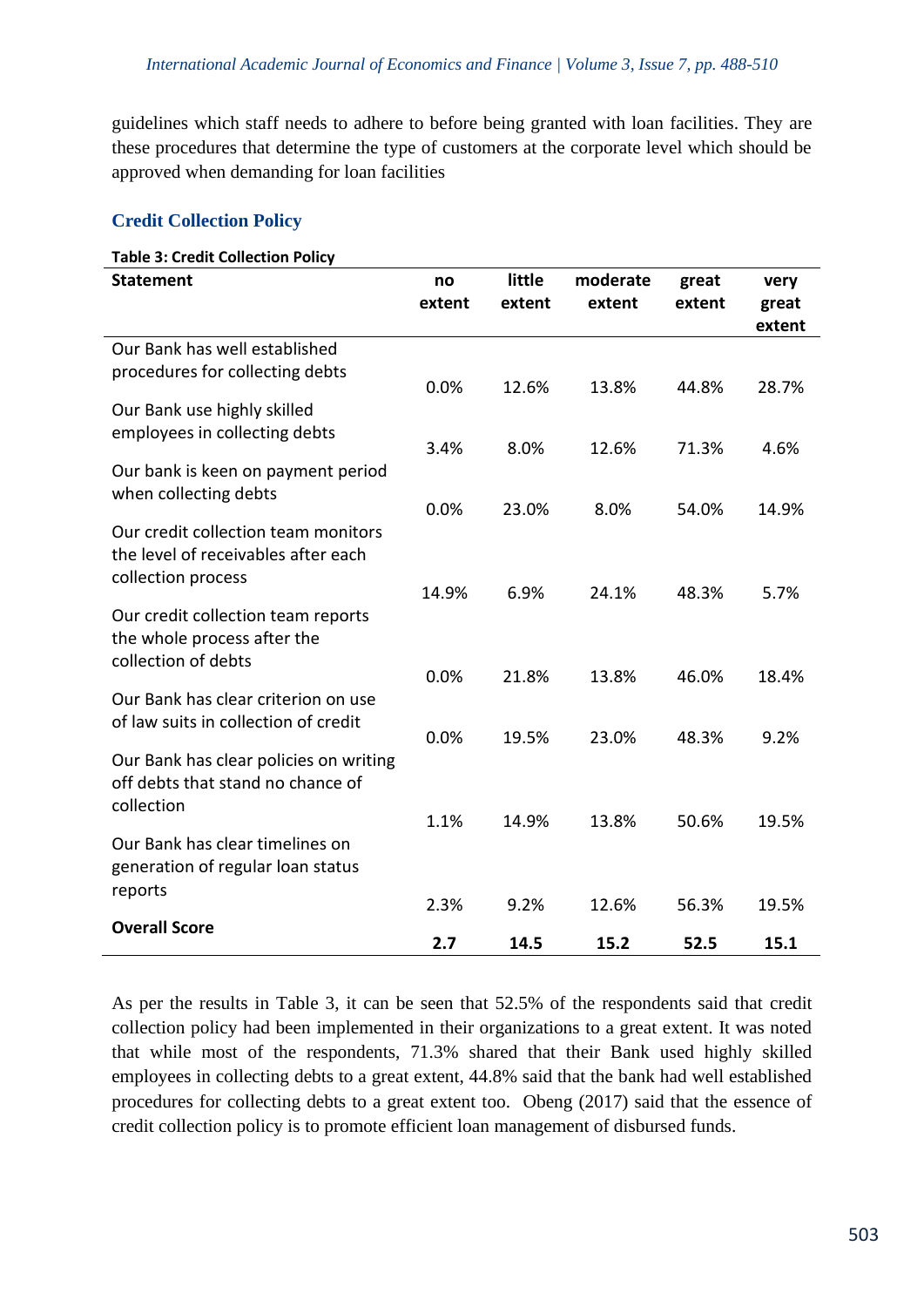guidelines which staff needs to adhere to before being granted with loan facilities. They are these procedures that determine the type of customers at the corporate level which should be approved when demanding for loan facilities

# **Credit Collection Policy**

#### **Table 3: Credit Collection Policy**

| <b>Statement</b>                       | no     | little | moderate | great  | very   |
|----------------------------------------|--------|--------|----------|--------|--------|
|                                        | extent | extent | extent   | extent | great  |
|                                        |        |        |          |        | extent |
| Our Bank has well established          |        |        |          |        |        |
| procedures for collecting debts        | 0.0%   | 12.6%  | 13.8%    | 44.8%  | 28.7%  |
| Our Bank use highly skilled            |        |        |          |        |        |
| employees in collecting debts          |        |        |          |        |        |
|                                        | 3.4%   | 8.0%   | 12.6%    | 71.3%  | 4.6%   |
| Our bank is keen on payment period     |        |        |          |        |        |
| when collecting debts                  |        |        |          |        |        |
|                                        | 0.0%   | 23.0%  | 8.0%     | 54.0%  | 14.9%  |
| Our credit collection team monitors    |        |        |          |        |        |
| the level of receivables after each    |        |        |          |        |        |
| collection process                     | 14.9%  | 6.9%   | 24.1%    | 48.3%  | 5.7%   |
|                                        |        |        |          |        |        |
| Our credit collection team reports     |        |        |          |        |        |
| the whole process after the            |        |        |          |        |        |
| collection of debts                    | 0.0%   | 21.8%  | 13.8%    | 46.0%  | 18.4%  |
| Our Bank has clear criterion on use    |        |        |          |        |        |
| of law suits in collection of credit   |        |        |          |        |        |
|                                        | 0.0%   | 19.5%  | 23.0%    | 48.3%  | 9.2%   |
| Our Bank has clear policies on writing |        |        |          |        |        |
| off debts that stand no chance of      |        |        |          |        |        |
| collection                             |        |        |          |        |        |
|                                        | 1.1%   | 14.9%  | 13.8%    | 50.6%  | 19.5%  |
| Our Bank has clear timelines on        |        |        |          |        |        |
| generation of regular loan status      |        |        |          |        |        |
| reports                                |        |        |          |        |        |
|                                        | 2.3%   | 9.2%   | 12.6%    | 56.3%  | 19.5%  |
| <b>Overall Score</b>                   | 2.7    | 14.5   | 15.2     | 52.5   | 15.1   |

As per the results in Table 3, it can be seen that 52.5% of the respondents said that credit collection policy had been implemented in their organizations to a great extent. It was noted that while most of the respondents, 71.3% shared that their Bank used highly skilled employees in collecting debts to a great extent, 44.8% said that the bank had well established procedures for collecting debts to a great extent too. Obeng (2017) said that the essence of credit collection policy is to promote efficient loan management of disbursed funds.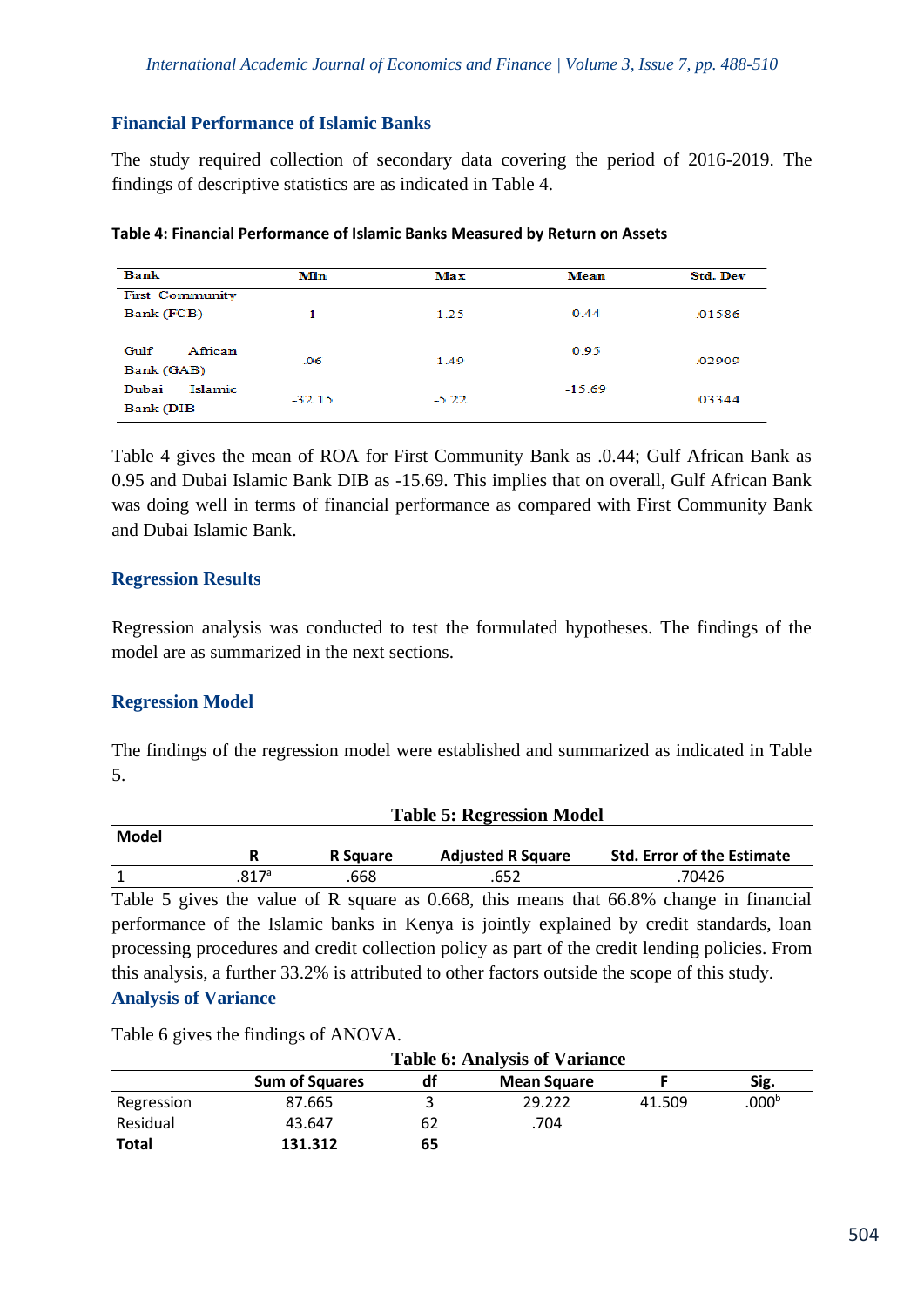# **Financial Performance of Islamic Banks**

The study required collection of secondary data covering the period of 2016-2019. The findings of descriptive statistics are as indicated in Table 4.

| <b>Bank</b>            | Min      | Max     | Mean     | <b>Std. Dev</b> |
|------------------------|----------|---------|----------|-----------------|
| <b>First Community</b> |          |         |          |                 |
| Bank (FCB)             | 1        | 1.25    | 0.44     | .01586          |
|                        |          |         |          |                 |
| Gulf<br>African        | .06      | 1.49    | 0.95     | .02909          |
| Bank (GAB)             |          |         |          |                 |
| Islamic<br>Dubai       |          |         | $-15.69$ |                 |
| Bank (DIB              | $-32.15$ | $-5.22$ |          | .03344          |

Table 4 gives the mean of ROA for First Community Bank as .0.44; Gulf African Bank as 0.95 and Dubai Islamic Bank DIB as -15.69. This implies that on overall, Gulf African Bank was doing well in terms of financial performance as compared with First Community Bank and Dubai Islamic Bank.

#### **Regression Results**

Regression analysis was conducted to test the formulated hypotheses. The findings of the model are as summarized in the next sections.

# **Regression Model**

The findings of the regression model were established and summarized as indicated in Table 5.

|       | <b>Table 5: Regression Model</b> |                 |                          |                                   |  |  |  |
|-------|----------------------------------|-----------------|--------------------------|-----------------------------------|--|--|--|
| Model |                                  |                 |                          |                                   |  |  |  |
|       |                                  | <b>R</b> Square | <b>Adjusted R Square</b> | <b>Std. Error of the Estimate</b> |  |  |  |
|       | .817ª                            | .668            | .652                     | .70426                            |  |  |  |

Table 5 gives the value of R square as 0.668, this means that 66.8% change in financial performance of the Islamic banks in Kenya is jointly explained by credit standards, loan processing procedures and credit collection policy as part of the credit lending policies. From this analysis, a further 33.2% is attributed to other factors outside the scope of this study.

# **Analysis of Variance**

Table 6 gives the findings of ANOVA.

|              | <b>Table 6: Analysis of Variance</b> |    |                    |        |                   |
|--------------|--------------------------------------|----|--------------------|--------|-------------------|
|              | <b>Sum of Squares</b>                | df | <b>Mean Square</b> |        | Sig.              |
| Regression   | 87.665                               |    | 29.222             | 41.509 | .000 <sup>b</sup> |
| Residual     | 43.647                               | 62 | .704               |        |                   |
| <b>Total</b> | 131.312                              | 65 |                    |        |                   |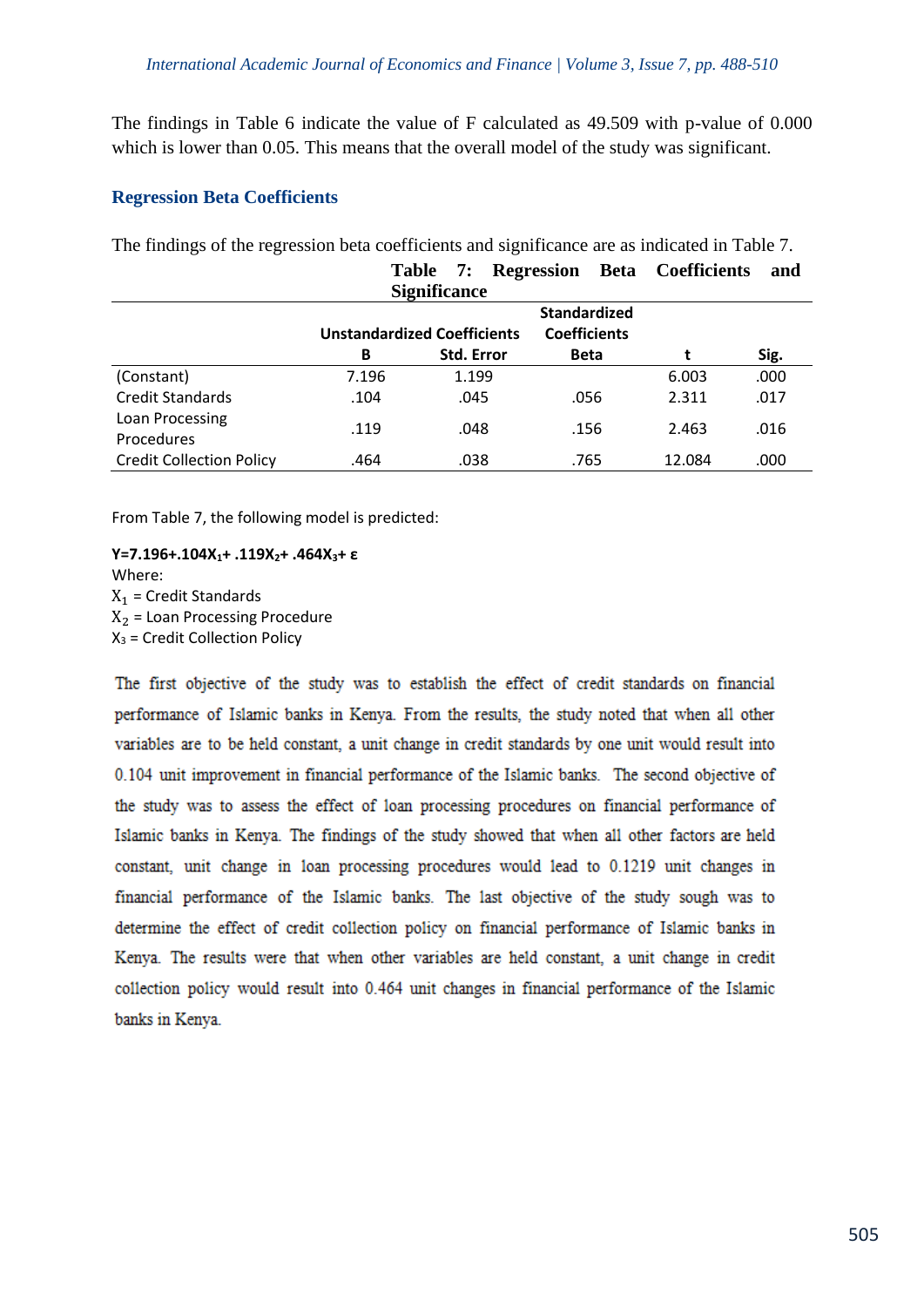The findings in Table 6 indicate the value of F calculated as 49.509 with p-value of 0.000 which is lower than 0.05. This means that the overall model of the study was significant.

#### **Regression Beta Coefficients**

The findings of the regression beta coefficients and significance are as indicated in Table 7.

|                                 |       | 7:<br><b>Table</b><br><b>Significance</b> | Regression<br>Beta  | <b>Coefficients</b> | and  |
|---------------------------------|-------|-------------------------------------------|---------------------|---------------------|------|
|                                 |       |                                           | <b>Standardized</b> |                     |      |
|                                 |       | <b>Unstandardized Coefficients</b>        | <b>Coefficients</b> |                     |      |
|                                 | B     | <b>Std. Error</b>                         | <b>Beta</b>         |                     | Sig. |
| (Constant)                      | 7.196 | 1.199                                     |                     | 6.003               | .000 |
| <b>Credit Standards</b>         | .104  | .045                                      | .056                | 2.311               | .017 |
| Loan Processing                 | .119  | .048                                      | .156                | 2.463               | .016 |
| <b>Procedures</b>               |       |                                           |                     |                     |      |
| <b>Credit Collection Policy</b> | .464  | .038                                      | .765                | 12.084              | .000 |

From Table 7, the following model is predicted:

# **Y=7.196+.104X1+ .119X2+ .464X3+ ε** Where:

 $X_1$  = Credit Standards  $X<sub>2</sub>$  = Loan Processing Procedure  $X_3$  = Credit Collection Policy

The first objective of the study was to establish the effect of credit standards on financial performance of Islamic banks in Kenya. From the results, the study noted that when all other variables are to be held constant, a unit change in credit standards by one unit would result into 0.104 unit improvement in financial performance of the Islamic banks. The second objective of the study was to assess the effect of loan processing procedures on financial performance of Islamic banks in Kenya. The findings of the study showed that when all other factors are held constant, unit change in loan processing procedures would lead to 0.1219 unit changes in financial performance of the Islamic banks. The last objective of the study sough was to determine the effect of credit collection policy on financial performance of Islamic banks in Kenya. The results were that when other variables are held constant, a unit change in credit collection policy would result into 0.464 unit changes in financial performance of the Islamic banks in Kenya.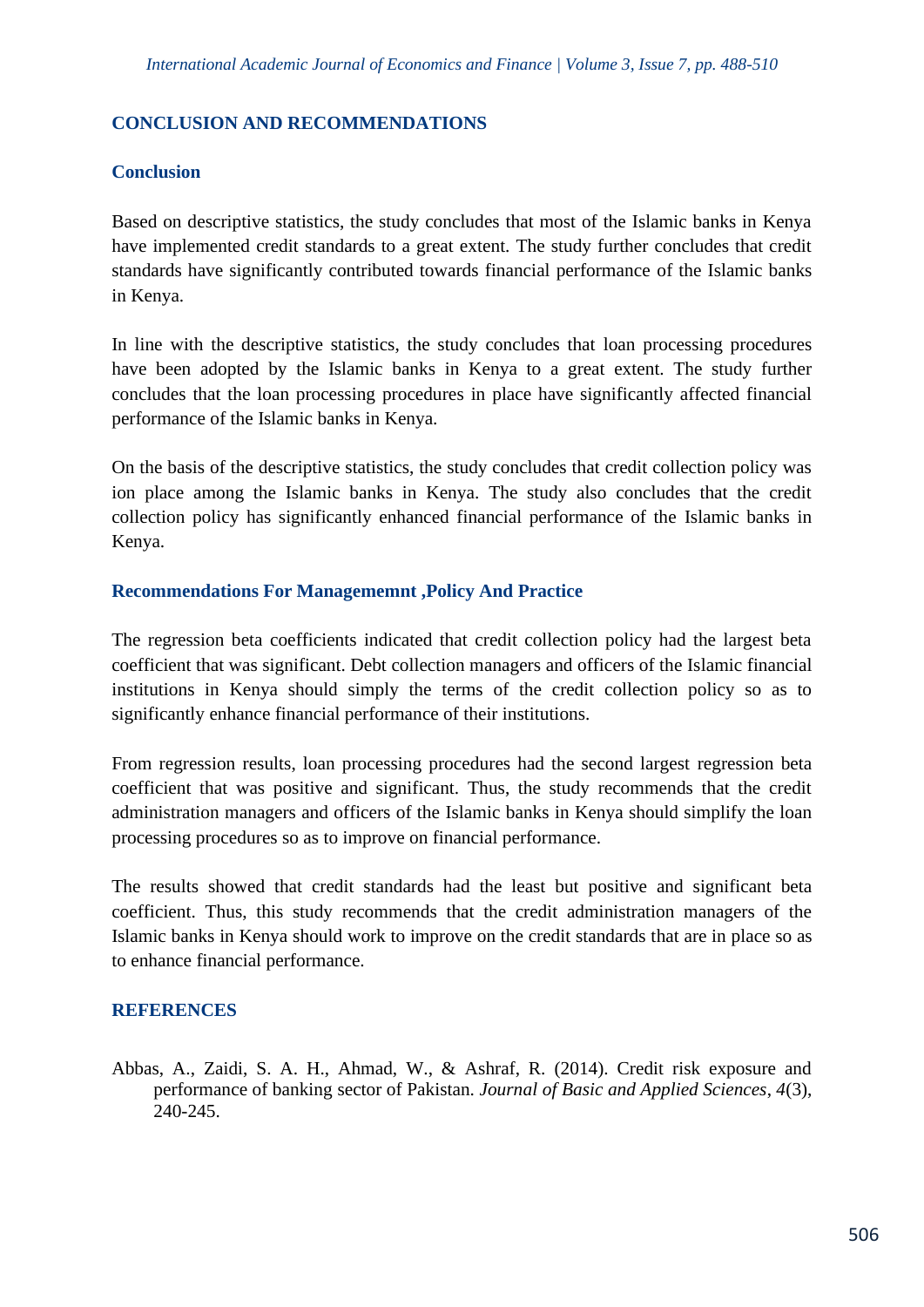# **CONCLUSION AND RECOMMENDATIONS**

# **Conclusion**

Based on descriptive statistics, the study concludes that most of the Islamic banks in Kenya have implemented credit standards to a great extent. The study further concludes that credit standards have significantly contributed towards financial performance of the Islamic banks in Kenya.

In line with the descriptive statistics, the study concludes that loan processing procedures have been adopted by the Islamic banks in Kenya to a great extent. The study further concludes that the loan processing procedures in place have significantly affected financial performance of the Islamic banks in Kenya.

On the basis of the descriptive statistics, the study concludes that credit collection policy was ion place among the Islamic banks in Kenya. The study also concludes that the credit collection policy has significantly enhanced financial performance of the Islamic banks in Kenya.

# **Recommendations For Managememnt ,Policy And Practice**

The regression beta coefficients indicated that credit collection policy had the largest beta coefficient that was significant. Debt collection managers and officers of the Islamic financial institutions in Kenya should simply the terms of the credit collection policy so as to significantly enhance financial performance of their institutions.

From regression results, loan processing procedures had the second largest regression beta coefficient that was positive and significant. Thus, the study recommends that the credit administration managers and officers of the Islamic banks in Kenya should simplify the loan processing procedures so as to improve on financial performance.

The results showed that credit standards had the least but positive and significant beta coefficient. Thus, this study recommends that the credit administration managers of the Islamic banks in Kenya should work to improve on the credit standards that are in place so as to enhance financial performance.

# **REFERENCES**

Abbas, A., Zaidi, S. A. H., Ahmad, W., & Ashraf, R. (2014). Credit risk exposure and performance of banking sector of Pakistan. *Journal of Basic and Applied Sciences*, *4*(3), 240-245.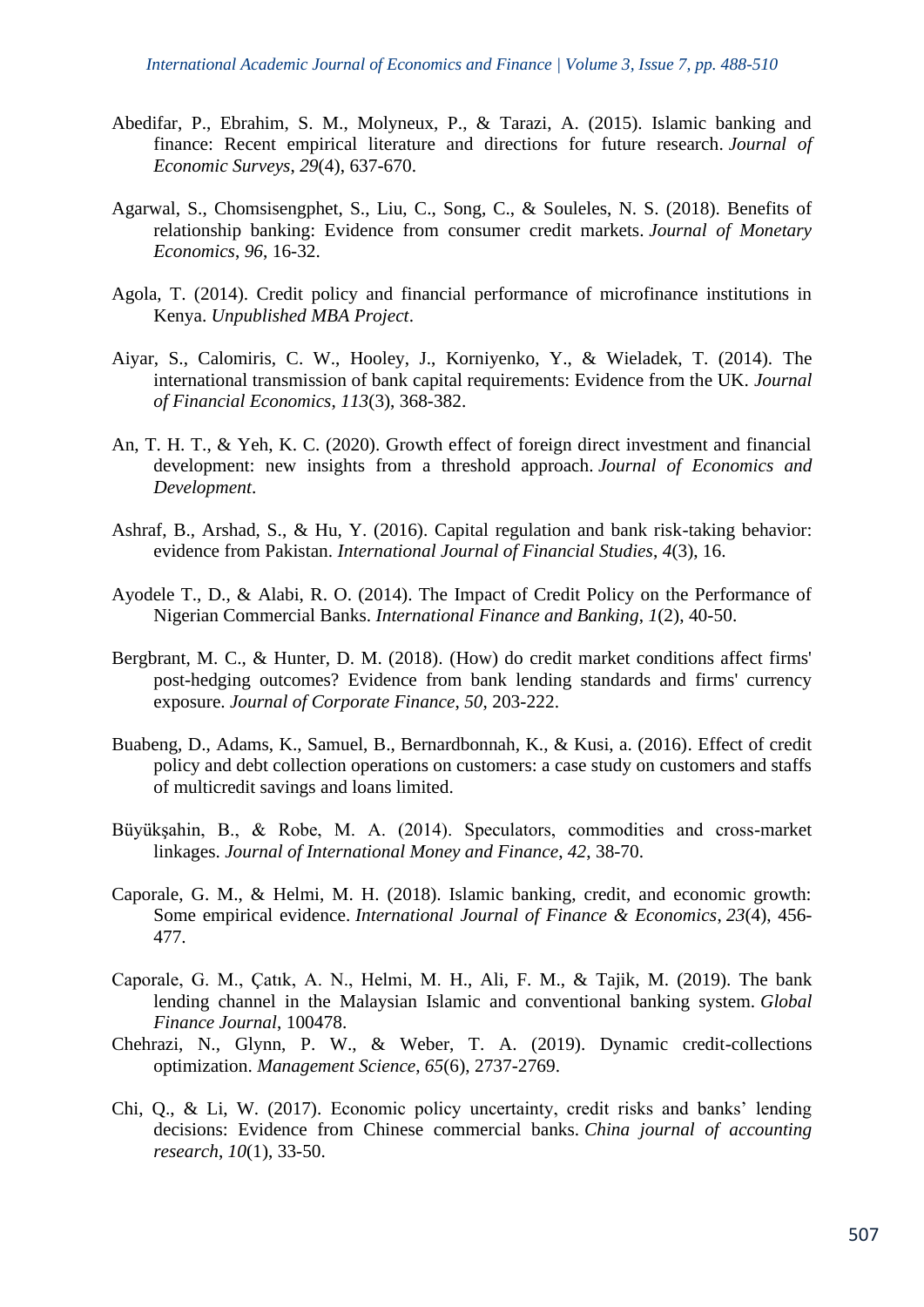- Abedifar, P., Ebrahim, S. M., Molyneux, P., & Tarazi, A. (2015). Islamic banking and finance: Recent empirical literature and directions for future research. *Journal of Economic Surveys*, *29*(4), 637-670.
- Agarwal, S., Chomsisengphet, S., Liu, C., Song, C., & Souleles, N. S. (2018). Benefits of relationship banking: Evidence from consumer credit markets. *Journal of Monetary Economics*, *96*, 16-32.
- Agola, T. (2014). Credit policy and financial performance of microfinance institutions in Kenya. *Unpublished MBA Project*.
- Aiyar, S., Calomiris, C. W., Hooley, J., Korniyenko, Y., & Wieladek, T. (2014). The international transmission of bank capital requirements: Evidence from the UK. *Journal of Financial Economics*, *113*(3), 368-382.
- An, T. H. T., & Yeh, K. C. (2020). Growth effect of foreign direct investment and financial development: new insights from a threshold approach. *Journal of Economics and Development*.
- Ashraf, B., Arshad, S., & Hu, Y. (2016). Capital regulation and bank risk-taking behavior: evidence from Pakistan. *International Journal of Financial Studies*, *4*(3), 16.
- Ayodele T., D., & Alabi, R. O. (2014). The Impact of Credit Policy on the Performance of Nigerian Commercial Banks. *International Finance and Banking*, *1*(2), 40-50.
- Bergbrant, M. C., & Hunter, D. M. (2018). (How) do credit market conditions affect firms' post-hedging outcomes? Evidence from bank lending standards and firms' currency exposure. *Journal of Corporate Finance*, *50*, 203-222.
- Buabeng, D., Adams, K., Samuel, B., Bernardbonnah, K., & Kusi, a. (2016). Effect of credit policy and debt collection operations on customers: a case study on customers and staffs of multicredit savings and loans limited.
- Büyükşahin, B., & Robe, M. A. (2014). Speculators, commodities and cross-market linkages. *Journal of International Money and Finance*, *42*, 38-70.
- Caporale, G. M., & Helmi, M. H. (2018). Islamic banking, credit, and economic growth: Some empirical evidence. *International Journal of Finance & Economics*, *23*(4), 456- 477.
- Caporale, G. M., Çatık, A. N., Helmi, M. H., Ali, F. M., & Tajik, M. (2019). The bank lending channel in the Malaysian Islamic and conventional banking system. *Global Finance Journal*, 100478.
- Chehrazi, N., Glynn, P. W., & Weber, T. A. (2019). Dynamic credit-collections optimization. *Management Science*, *65*(6), 2737-2769.
- Chi, Q., & Li, W. (2017). Economic policy uncertainty, credit risks and banks' lending decisions: Evidence from Chinese commercial banks. *China journal of accounting research*, *10*(1), 33-50.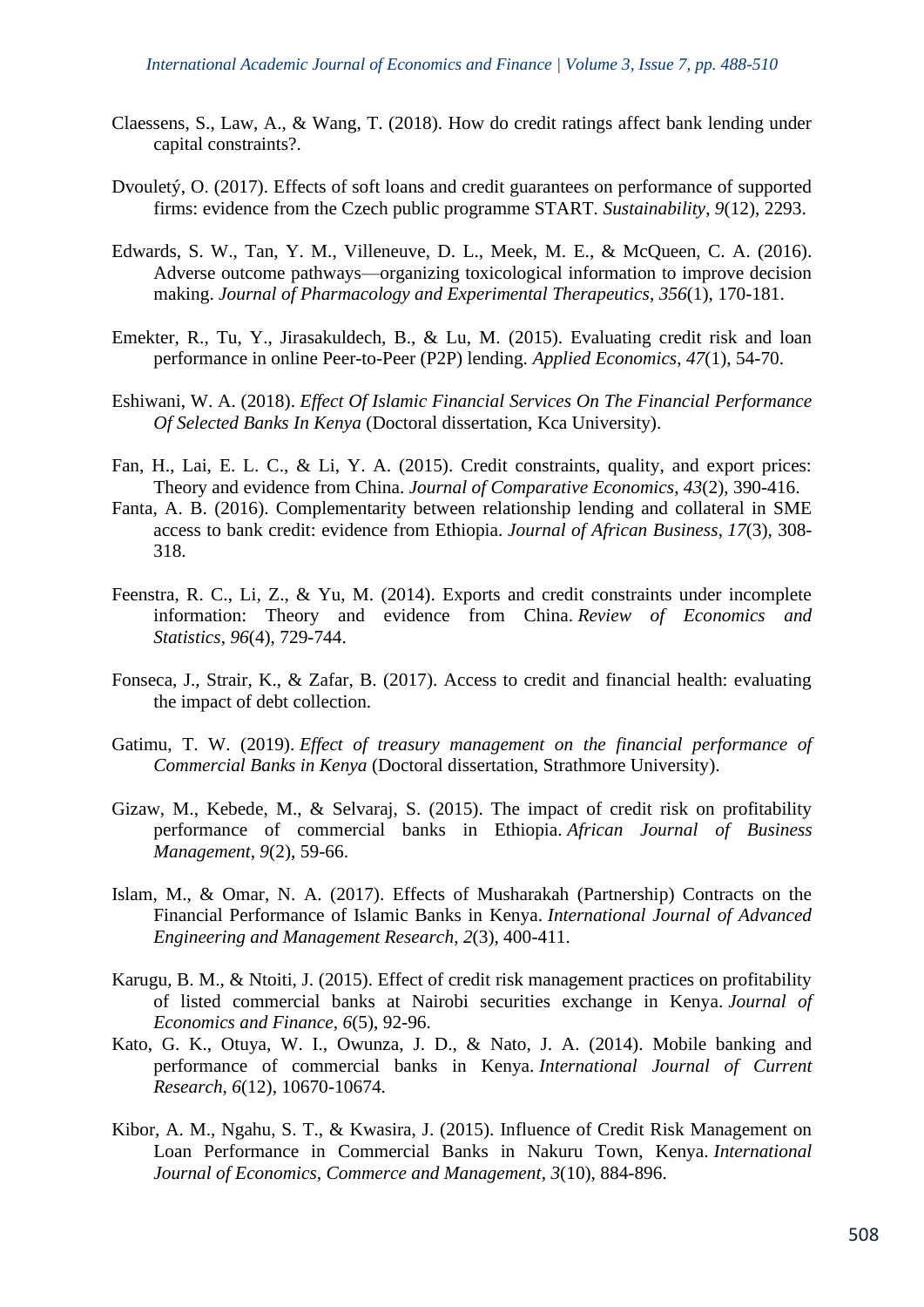- Claessens, S., Law, A., & Wang, T. (2018). How do credit ratings affect bank lending under capital constraints?.
- Dvouletý, O. (2017). Effects of soft loans and credit guarantees on performance of supported firms: evidence from the Czech public programme START. *Sustainability*, *9*(12), 2293.
- Edwards, S. W., Tan, Y. M., Villeneuve, D. L., Meek, M. E., & McQueen, C. A. (2016). Adverse outcome pathways—organizing toxicological information to improve decision making. *Journal of Pharmacology and Experimental Therapeutics*, *356*(1), 170-181.
- Emekter, R., Tu, Y., Jirasakuldech, B., & Lu, M. (2015). Evaluating credit risk and loan performance in online Peer-to-Peer (P2P) lending. *Applied Economics*, *47*(1), 54-70.
- Eshiwani, W. A. (2018). *Effect Of Islamic Financial Services On The Financial Performance Of Selected Banks In Kenya* (Doctoral dissertation, Kca University).
- Fan, H., Lai, E. L. C., & Li, Y. A. (2015). Credit constraints, quality, and export prices: Theory and evidence from China. *Journal of Comparative Economics*, *43*(2), 390-416.
- Fanta, A. B. (2016). Complementarity between relationship lending and collateral in SME access to bank credit: evidence from Ethiopia. *Journal of African Business*, *17*(3), 308- 318.
- Feenstra, R. C., Li, Z., & Yu, M. (2014). Exports and credit constraints under incomplete information: Theory and evidence from China. *Review of Economics and Statistics*, *96*(4), 729-744.
- Fonseca, J., Strair, K., & Zafar, B. (2017). Access to credit and financial health: evaluating the impact of debt collection.
- Gatimu, T. W. (2019). *Effect of treasury management on the financial performance of Commercial Banks in Kenya* (Doctoral dissertation, Strathmore University).
- Gizaw, M., Kebede, M., & Selvaraj, S. (2015). The impact of credit risk on profitability performance of commercial banks in Ethiopia. *African Journal of Business Management*, *9*(2), 59-66.
- Islam, M., & Omar, N. A. (2017). Effects of Musharakah (Partnership) Contracts on the Financial Performance of Islamic Banks in Kenya. *International Journal of Advanced Engineering and Management Research*, *2*(3), 400-411.
- Karugu, B. M., & Ntoiti, J. (2015). Effect of credit risk management practices on profitability of listed commercial banks at Nairobi securities exchange in Kenya. *Journal of Economics and Finance*, *6*(5), 92-96.
- Kato, G. K., Otuya, W. I., Owunza, J. D., & Nato, J. A. (2014). Mobile banking and performance of commercial banks in Kenya. *International Journal of Current Research*, *6*(12), 10670-10674.
- Kibor, A. M., Ngahu, S. T., & Kwasira, J. (2015). Influence of Credit Risk Management on Loan Performance in Commercial Banks in Nakuru Town, Kenya. *International Journal of Economics, Commerce and Management*, *3*(10), 884-896.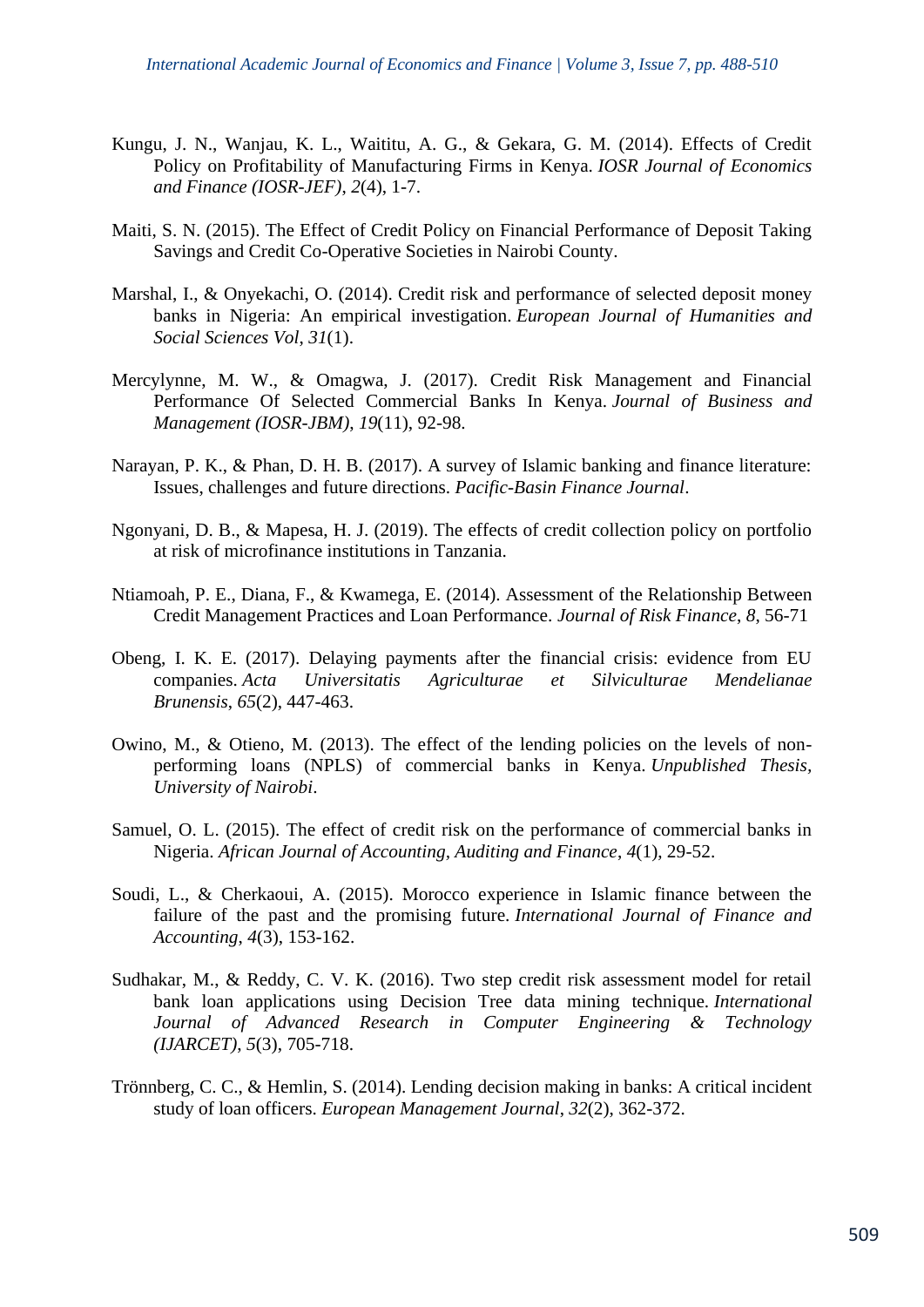- Kungu, J. N., Wanjau, K. L., Waititu, A. G., & Gekara, G. M. (2014). Effects of Credit Policy on Profitability of Manufacturing Firms in Kenya. *IOSR Journal of Economics and Finance (IOSR-JEF)*, *2*(4), 1-7.
- Maiti, S. N. (2015). The Effect of Credit Policy on Financial Performance of Deposit Taking Savings and Credit Co-Operative Societies in Nairobi County.
- Marshal, I., & Onyekachi, O. (2014). Credit risk and performance of selected deposit money banks in Nigeria: An empirical investigation. *European Journal of Humanities and Social Sciences Vol*, *31*(1).
- Mercylynne, M. W., & Omagwa, J. (2017). Credit Risk Management and Financial Performance Of Selected Commercial Banks In Kenya. *Journal of Business and Management (IOSR-JBM)*, *19*(11), 92-98.
- Narayan, P. K., & Phan, D. H. B. (2017). A survey of Islamic banking and finance literature: Issues, challenges and future directions. *Pacific-Basin Finance Journal*.
- Ngonyani, D. B., & Mapesa, H. J. (2019). The effects of credit collection policy on portfolio at risk of microfinance institutions in Tanzania.
- Ntiamoah, P. E., Diana, F., & Kwamega, E. (2014). Assessment of the Relationship Between Credit Management Practices and Loan Performance. *Journal of Risk Finance*, *8*, 56-71
- Obeng, I. K. E. (2017). Delaying payments after the financial crisis: evidence from EU companies. *Acta Universitatis Agriculturae et Silviculturae Mendelianae Brunensis*, *65*(2), 447-463.
- Owino, M., & Otieno, M. (2013). The effect of the lending policies on the levels of nonperforming loans (NPLS) of commercial banks in Kenya. *Unpublished Thesis, University of Nairobi*.
- Samuel, O. L. (2015). The effect of credit risk on the performance of commercial banks in Nigeria. *African Journal of Accounting, Auditing and Finance*, *4*(1), 29-52.
- Soudi, L., & Cherkaoui, A. (2015). Morocco experience in Islamic finance between the failure of the past and the promising future. *International Journal of Finance and Accounting*, *4*(3), 153-162.
- Sudhakar, M., & Reddy, C. V. K. (2016). Two step credit risk assessment model for retail bank loan applications using Decision Tree data mining technique. *International Journal of Advanced Research in Computer Engineering & Technology (IJARCET)*, *5*(3), 705-718.
- Trönnberg, C. C., & Hemlin, S. (2014). Lending decision making in banks: A critical incident study of loan officers. *European Management Journal*, *32*(2), 362-372.